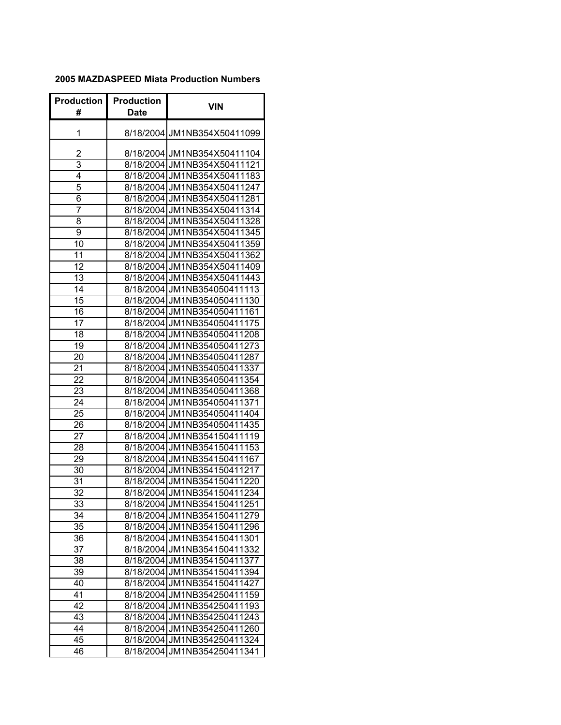## **2005 MAZDASPEED Miata Production Numbers**

| <b>Production</b> | Production  | VIN                                                        |
|-------------------|-------------|------------------------------------------------------------|
| #                 | <b>Date</b> |                                                            |
| 1                 |             | 8/18/2004 JM1NB354X50411099                                |
| 2                 |             | 8/18/2004 JM1NB354X50411104                                |
| 3                 |             | 8/18/2004 JM1NB354X50411121                                |
| 4                 |             | 8/18/2004 JM1NB354X50411183                                |
| 5                 |             | 8/18/2004 JM1NB354X50411247                                |
| 6                 |             | 8/18/2004 JM1NB354X50411281                                |
| 7                 |             | 8/18/2004 JM1NB354X50411314                                |
| 8                 |             | 8/18/2004 JM1NB354X50411328                                |
| 9                 |             | 8/18/2004 JM1NB354X50411345                                |
| 10                |             | 8/18/2004 JM1NB354X50411359                                |
| 11                |             | 8/18/2004 JM1NB354X50411362                                |
| 12                |             | 8/18/2004 JM1NB354X50411409                                |
| 13                |             | 8/18/2004 JM1NB354X50411443                                |
| 14                |             | 8/18/2004 JM1NB354050411113                                |
| 15                |             | 8/18/2004 JM1NB354050411130                                |
| 16                |             | 8/18/2004 JM1NB354050411161                                |
| 17                |             | 8/18/2004 JM1NB354050411175                                |
| 18                |             | 8/18/2004 JM1NB354050411208                                |
| 19                |             | 8/18/2004 JM1NB354050411273                                |
| 20                |             | 8/18/2004 JM1NB354050411287                                |
| 21                |             | 8/18/2004 JM1NB354050411337                                |
| 22                |             | 8/18/2004 JM1NB354050411354                                |
| 23                |             | 8/18/2004 JM1NB354050411368                                |
| 24                |             | 8/18/2004 JM1NB354050411371                                |
| 25                |             | 8/18/2004 JM1NB354050411404                                |
| 26                |             | 8/18/2004 JM1NB354050411435                                |
| $\overline{27}$   |             | 8/18/2004 JM1NB354150411119                                |
| 28                |             | 8/18/2004 JM1NB354150411153                                |
| 29                |             | 8/18/2004 JM1NB354150411167                                |
| 30                |             | 8/18/2004 JM1NB354150411217                                |
| 31                |             | 8/18/2004 JM1NB354150411220                                |
| 32                |             | 8/18/2004 JM1NB354150411234                                |
| 33                |             | 8/18/2004 JM1NB354150411251                                |
| 34                |             | 8/18/2004 JM1NB354150411279                                |
| 35                |             | 8/18/2004 JM1NB354150411296                                |
| 36                |             | 8/18/2004 JM1NB354150411301                                |
| 37                |             | 8/18/2004 JM1NB354150411332                                |
| 38                |             | 8/18/2004 JM1NB354150411377                                |
| 39                |             | 8/18/2004 JM1NB354150411394                                |
| 40                |             | 8/18/2004 JM1NB354150411427                                |
| 41                |             | 8/18/2004 JM1NB354250411159                                |
| 42<br>43          |             | 8/18/2004 JM1NB354250411193                                |
| 44                |             | 8/18/2004 JM1NB354250411243<br>8/18/2004 JM1NB354250411260 |
| 45                |             | 8/18/2004 JM1NB354250411324                                |
| 46                |             | 8/18/2004 JM1NB354250411341                                |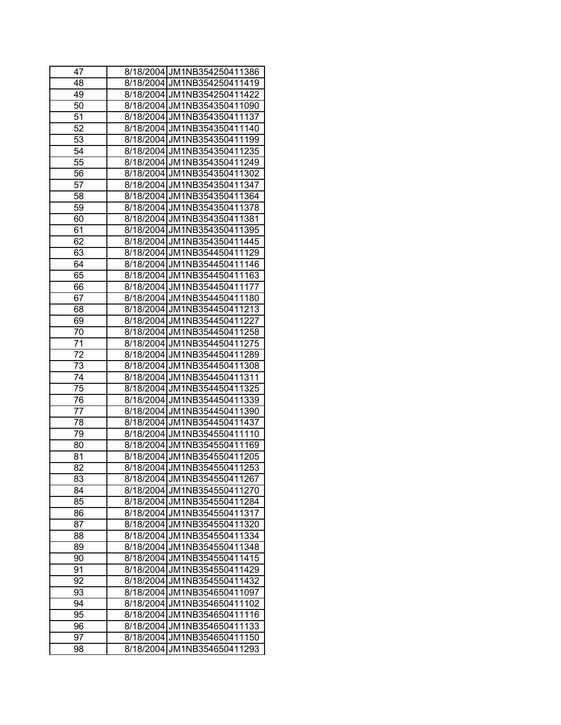| 47 | 8/18/2004 JM1NB354250411386    |
|----|--------------------------------|
| 48 | 8/18/2004 JM1NB354250411419    |
| 49 | 8/18/2004 JM1NB354250411422    |
| 50 | 8/18/2004 JM1NB354350411090    |
| 51 | 8/18/2004 JM1NB354350411137    |
| 52 | 8/18/2004 JM1NB354350411140    |
| 53 | 8/18/2004 JM1NB354350411199    |
| 54 | 8/18/2004 JM1NB354350411235    |
| 55 | 8/18/2004 JM1NB354350411249    |
| 56 | 8/18/2004 JM1NB354350411302    |
| 57 | 8/18/2004 JM1NB354350411347    |
| 58 | 8/18/2004 JM1NB354350411364    |
| 59 | 8/18/2004 JM1NB354350411378    |
| 60 | 8/18/2004 JM1NB354350411381    |
| 61 | 8/18/2004 JM1NB354350411395    |
| 62 | 8/18/2004 JM1NB354350411445    |
| 63 | 8/18/2004 JM1NB354450411129    |
| 64 | 8/18/2004IJM1NB354450411146    |
| 65 | 8/18/2004 JM1NB354450411163    |
| 66 | 8/18/2004 JM1NB354450411177    |
| 67 | 8/18/2004 JM1NB354450411180    |
| 68 | 8/18/2004 JM1NB354450411213    |
| 69 | 8/18/2004 JM1NB354450411227    |
| 70 | 8/18/2004 JM1NB354450411258    |
| 71 | 8/18/2004 JM1NB354450411275    |
| 72 | 8/18/2004 JM1NB354450411289    |
| 73 | 8/18/2004 JM1NB354450411308    |
| 74 | 8/18/2004 JM1NB354450411311    |
| 75 | 8/18/2004 JM1NB354450411325    |
| 76 | 8/18/2004 JM1NB354450411339    |
| 77 | 8/18/2004 JM1NB354450411390    |
| 78 | 8/18/2004 JM1NB354450411437    |
| 79 | 8/18/2004 JM1NB354550411110    |
| 80 | 8/18/2004 JM1NB354550411169    |
| 81 | 8/18/2004 JM1NB354550411205    |
| 82 | 8/18/2004 JM1NB354550411253    |
| 83 | 8/18/2004 JM1NB354550411267    |
| 84 | 8/18/2004 JM1NB354550411270    |
| 85 | 8/18/2004 JM1NB354550411284    |
| 86 | 8/18/2004 JM1NB354550411317    |
| 87 | 8/18/2004 JM1NB354550411320    |
| 88 | 8/18/2004<br>JM1NB354550411334 |
| 89 | JM1NB354550411348<br>8/18/2004 |
| 90 | JM1NB354550411415<br>8/18/2004 |
| 91 | JM1NB354550411429<br>8/18/2004 |
| 92 | 8/18/2004<br>JM1NB354550411432 |
| 93 | 8/18/2004<br>JM1NB354650411097 |
| 94 | 8/18/2004<br>JM1NB354650411102 |
| 95 | 8/18/2004<br>JM1NB354650411116 |
| 96 | 8/18/2004<br>JM1NB354650411133 |
| 97 | 8/18/2004 JM1NB354650411150    |
| 98 | JM1NB354650411293<br>8/18/2004 |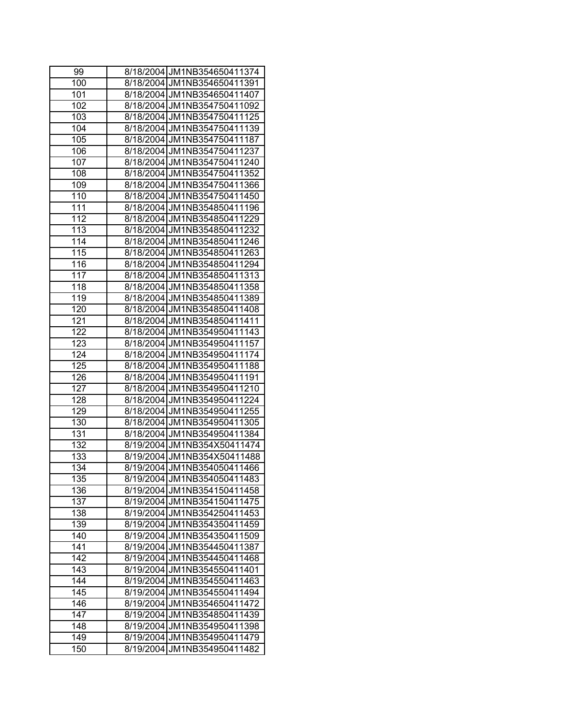| 99               | 8/18/2004 JM1NB354650411374 |
|------------------|-----------------------------|
| 100              | 8/18/2004 JM1NB354650411391 |
| 101              | 8/18/2004 JM1NB354650411407 |
| 102              | 8/18/2004 JM1NB354750411092 |
| 103              | 8/18/2004 JM1NB354750411125 |
| 104              | 8/18/2004 JM1NB354750411139 |
| 105              | 8/18/2004 JM1NB354750411187 |
| 106              | 8/18/2004 JM1NB354750411237 |
|                  |                             |
| 107              | 8/18/2004 JM1NB354750411240 |
| 108              | 8/18/2004 JM1NB354750411352 |
| 109              | 8/18/2004 JM1NB354750411366 |
| 110              | 8/18/2004 JM1NB354750411450 |
| 111              | 8/18/2004 JM1NB354850411196 |
| 112              | 8/18/2004 JM1NB354850411229 |
| 113              | 8/18/2004 JM1NB354850411232 |
| 114              | 8/18/2004 JM1NB354850411246 |
| 115              | 8/18/2004 JM1NB354850411263 |
| 116              | 8/18/2004 JM1NB354850411294 |
| 117              | 8/18/2004 JM1NB354850411313 |
| 118              | 8/18/2004 JM1NB354850411358 |
| 119              | 8/18/2004 JM1NB354850411389 |
| 120              | 8/18/2004 JM1NB354850411408 |
| 121              | 8/18/2004 JM1NB354850411411 |
| 122              | 8/18/2004 JM1NB354950411143 |
| 123              | 8/18/2004 JM1NB354950411157 |
| 124              | 8/18/2004 JM1NB354950411174 |
| 125              | 8/18/2004 JM1NB354950411188 |
| 126              | 8/18/2004 JM1NB354950411191 |
| 127              | 8/18/2004 JM1NB354950411210 |
| $\overline{128}$ | 8/18/2004 JM1NB354950411224 |
| 129              | 8/18/2004 JM1NB354950411255 |
| 130              | 8/18/2004 JM1NB354950411305 |
| 131              | 8/18/2004 JM1NB354950411384 |
| 132              | 8/19/2004 JM1NB354X50411474 |
| 133              | 8/19/2004 JM1NB354X50411488 |
| 134              | 8/19/2004 JM1NB354050411466 |
| 135              | 8/19/2004 JM1NB354050411483 |
| 136              | 8/19/2004 JM1NB354150411458 |
| 137              | 8/19/2004 JM1NB354150411475 |
| 138              | 8/19/2004 JM1NB354250411453 |
| 139              | 8/19/2004 JM1NB354350411459 |
| 140              | 8/19/2004 JM1NB354350411509 |
| 141              | 8/19/2004 JM1NB354450411387 |
| 142              | 8/19/2004 JM1NB354450411468 |
| 143              | 8/19/2004 JM1NB354550411401 |
| 144              | 8/19/2004 JM1NB354550411463 |
| $14\overline{5}$ | 8/19/2004 JM1NB354550411494 |
| 146              | 8/19/2004 JM1NB354650411472 |
| 147              | 8/19/2004 JM1NB354850411439 |
| 148              | 8/19/2004 JM1NB354950411398 |
| 149              | 8/19/2004 JM1NB354950411479 |
| 150              | 8/19/2004 JM1NB354950411482 |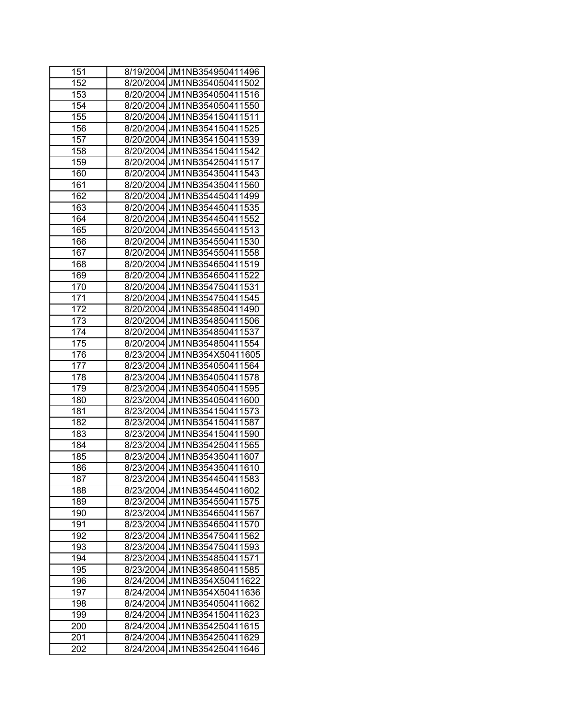| 151 | 8/19/2004 JM1NB354950411496     |
|-----|---------------------------------|
| 152 | 8/20/2004 JM1NB354050411502     |
| 153 | 8/20/2004 JM1NB354050411516     |
| 154 | 8/20/2004 JM1NB354050411550     |
| 155 | 8/20/2004 JM1NB354150411511     |
| 156 | 8/20/2004 JM1NB354150411525     |
| 157 | 8/20/2004 JM1NB354150411539     |
| 158 | 8/20/2004 JM1NB354150411542     |
| 159 | 8/20/2004 JM1NB354250411517     |
| 160 | 8/20/2004 JM1NB354350411543     |
| 161 | 8/20/2004 JM1NB354350411560     |
| 162 | 8/20/2004 JM1NB354450411499     |
| 163 | 8/20/2004 JM1NB354450411535     |
| 164 | 8/20/2004 JM1NB354450411552     |
| 165 | 8/20/2004 JM1NB354550411513     |
| 166 | 8/20/2004 JM1NB354550411530     |
| 167 | 8/20/2004 JM1NB354550411558     |
| 168 | 8/20/2004 JM1NB354650411519     |
| 169 | 8/20/2004 JM1NB354650411522     |
| 170 | 8/20/2004 JM1NB354750411531     |
| 171 | 8/20/2004 JM1NB354750411545     |
| 172 | 8/20/2004 JM1NB354850411490     |
| 173 | 8/20/2004 JM1NB354850411506     |
| 174 | 8/20/2004 JM1NB354850411537     |
| 175 | 8/20/2004 JM1NB354850411554     |
| 176 | 8/23/2004 JM1NB354X50411605     |
| 177 | 8/23/2004 JM1NB354050411564     |
| 178 | 8/23/2004 JM1NB354050411578     |
| 179 | 8/23/2004 JM1NB354050411595     |
| 180 | 8/23/2004 JM1NB354050411600     |
| 181 | 8/23/2004 JM1NB354150411573     |
| 182 | 8/23/2004 JM1NB354150411587     |
| 183 | 8/23/2004 JM1NB354150411590     |
| 184 | 8/23/2004 JM1NB354250411565     |
| 185 | 8/23/2004 JM1NB354350411607     |
| 186 | 8/23/2004 JM1NB354350411610     |
| 187 | 8/23/2004 JM1NB354450411583     |
| 188 | 8/23/2004 JM1NB354450411602     |
| 189 | 8/23/2004 JM1NB354550411575     |
| 190 | 8/23/2004 JM1NB354650411567     |
| 191 | 8/23/2004 JM1NB354650411570     |
| 192 | JM1NB354750411562<br>8/23/2004  |
| 193 | JM1NB354750411593<br>8/23/2004  |
| 194 | JM1NB354850411571<br>8/23/2004  |
| 195 | JM1NB354850411585<br>8/23/20041 |
| 196 | JM1NB354X50411622<br>8/24/2004  |
| 197 | 8/24/2004<br>JM1NB354X50411636  |
| 198 | 8/24/2004<br>JM1NB354050411662  |
| 199 | 8/24/2004<br>JM1NB354150411623  |
| 200 | 8/24/2004<br>JM1NB354250411615  |
| 201 | 8/24/2004 JM1NB354250411629     |
| 202 | 8/24/2004 JM1NB354250411646     |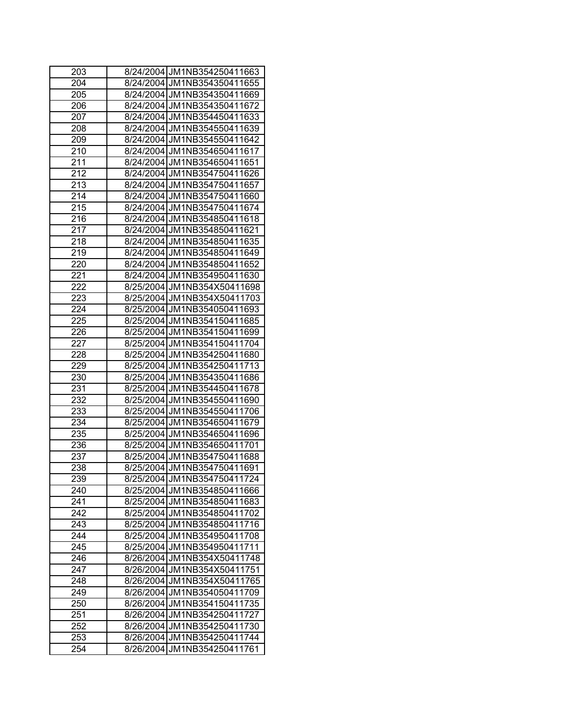| 203              | 8/24/2004 JM1NB354250411663 |
|------------------|-----------------------------|
| 204              | 8/24/2004 JM1NB354350411655 |
| 205              | 8/24/2004 JM1NB354350411669 |
| 206              | 8/24/2004 JM1NB354350411672 |
| 207              | 8/24/2004 JM1NB354450411633 |
| 208              | 8/24/2004 JM1NB354550411639 |
| 209              | 8/24/2004 JM1NB354550411642 |
| 210              | 8/24/2004 JM1NB354650411617 |
| 211              | 8/24/2004 JM1NB354650411651 |
| 212              | 8/24/2004 JM1NB354750411626 |
| $\overline{213}$ | 8/24/2004 JM1NB354750411657 |
| 214              | 8/24/2004 JM1NB354750411660 |
| 215              | 8/24/2004 JM1NB354750411674 |
| 216              | 8/24/2004 JM1NB354850411618 |
| 217              | 8/24/2004 JM1NB354850411621 |
| 218              | 8/24/2004 JM1NB354850411635 |
| 219              | 8/24/2004 JM1NB354850411649 |
| 220              | 8/24/2004 JM1NB354850411652 |
| 221              | 8/24/2004 JM1NB354950411630 |
| 222              | 8/25/2004 JM1NB354X50411698 |
| 223              | 8/25/2004 JM1NB354X50411703 |
| 224              | 8/25/2004 JM1NB354050411693 |
| 225              | 8/25/2004 JM1NB354150411685 |
| 226              | 8/25/2004 JM1NB354150411699 |
| 227              | 8/25/2004 JM1NB354150411704 |
| 228              | 8/25/2004 JM1NB354250411680 |
| 229              | 8/25/2004 JM1NB354250411713 |
| 230              | 8/25/2004 JM1NB354350411686 |
| 231              | 8/25/2004 JM1NB354450411678 |
| 232              | 8/25/2004 JM1NB354550411690 |
| 233              | 8/25/2004 JM1NB354550411706 |
| 234              | 8/25/2004 JM1NB354650411679 |
| 235              | 8/25/2004 JM1NB354650411696 |
| 236              | 8/25/2004 JM1NB354650411701 |
| 237              | 8/25/2004 JM1NB354750411688 |
| 238              | 8/25/2004 JM1NB354750411691 |
| 239              | 8/25/2004 JM1NB354750411724 |
| 240              | 8/25/2004 JM1NB354850411666 |
| 241              | 8/25/2004 JM1NB354850411683 |
| 242              | 8/25/2004 JM1NB354850411702 |
| 243              | 8/25/2004 JM1NB354850411716 |
| 244              | 8/25/2004 JM1NB354950411708 |
| 245              | 8/25/2004 JM1NB354950411711 |
| 246              | 8/26/2004 JM1NB354X50411748 |
| 247              | 8/26/2004 JM1NB354X50411751 |
| 248              | 8/26/2004 JM1NB354X50411765 |
| 249              | 8/26/2004 JM1NB354050411709 |
| 250              | 8/26/2004 JM1NB354150411735 |
| 251              | 8/26/2004 JM1NB354250411727 |
| 252              | 8/26/2004 JM1NB354250411730 |
| 253              | 8/26/2004 JM1NB354250411744 |
| 254              | 8/26/2004 JM1NB354250411761 |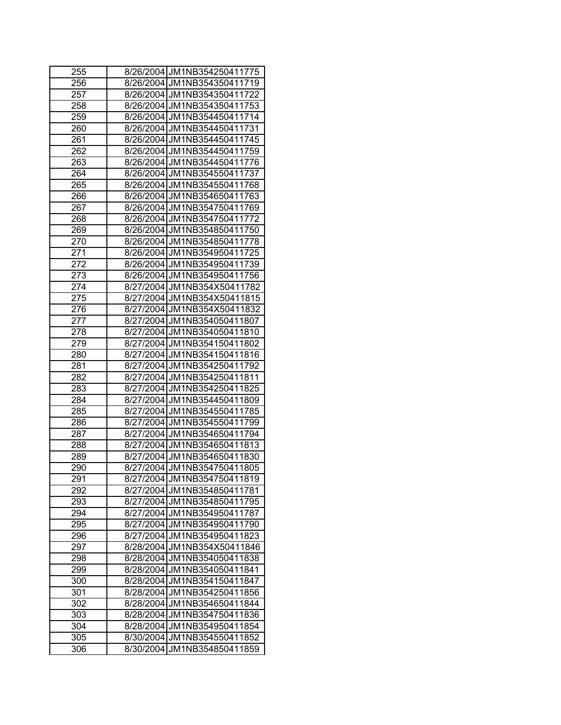| 255 | 8/26/2004 JM1NB354250411775    |
|-----|--------------------------------|
| 256 | 8/26/2004 JM1NB354350411719    |
| 257 | 8/26/2004 JM1NB354350411722    |
| 258 | 8/26/2004 JM1NB354350411753    |
| 259 | 8/26/2004 JM1NB354450411714    |
| 260 | 8/26/2004 JM1NB354450411731    |
| 261 | 8/26/2004 JM1NB354450411745    |
| 262 | 8/26/2004 JM1NB354450411759    |
| 263 | 8/26/2004 JM1NB354450411776    |
| 264 | 8/26/2004 JM1NB354550411737    |
| 265 | 8/26/2004 JM1NB354550411768    |
| 266 | 8/26/2004 JM1NB354650411763    |
| 267 | 8/26/2004 JM1NB354750411769    |
| 268 | 8/26/2004 JM1NB354750411772    |
| 269 | 8/26/2004 JM1NB354850411750    |
| 270 | 8/26/2004 JM1NB354850411778    |
| 271 | 8/26/2004 JM1NB354950411725    |
| 272 | 8/26/2004 JM1NB354950411739    |
| 273 | 8/26/2004 JM1NB354950411756    |
| 274 | 8/27/2004 JM1NB354X50411782    |
| 275 | 8/27/2004 JM1NB354X50411815    |
| 276 | 8/27/2004 JM1NB354X50411832    |
| 277 | 8/27/2004 JM1NB354050411807    |
| 278 | 8/27/2004 JM1NB354050411810    |
| 279 | 8/27/2004 JM1NB354150411802    |
| 280 | JM1NB354150411816<br>8/27/2004 |
| 281 | JM1NB354250411792<br>8/27/2004 |
| 282 | 8/27/2004 JM1NB354250411811    |
| 283 | 8/27/2004 JM1NB354250411825    |
| 284 | 8/27/2004 JM1NB354450411809    |
| 285 | 8/27/2004 JM1NB354550411785    |
| 286 | 8/27/2004 JM1NB354550411799    |
| 287 | 8/27/2004 JM1NB354650411794    |
| 288 | 8/27/2004 JM1NB354650411813    |
| 289 | 8/27/2004IJM1NB354650411830    |
| 290 | 8/27/2004 JM1NB354750411805    |
| 291 | 8/27/2004 JM1NB354750411819    |
| 292 | 8/27/2004 JM1NB354850411781    |
| 293 | 8/27/2004 JM1NB354850411795    |
| 294 | 8/27/2004 JM1NB354950411787    |
| 295 | 8/27/2004 JM1NB354950411790    |
| 296 | 8/27/2004<br>JM1NB354950411823 |
| 297 | JM1NB354X50411846<br>8/28/2004 |
| 298 | 8/28/2004<br>JM1NB354050411838 |
| 299 | JM1NB354050411841<br>8/28/2004 |
| 300 | 8/28/2004<br>JM1NB354150411847 |
| 301 | JM1NB354250411856<br>8/28/2004 |
| 302 | 8/28/2004<br>JM1NB354650411844 |
| 303 | 8/28/2004<br>JM1NB354750411836 |
| 304 | 8/28/2004<br>JM1NB354950411854 |
| 305 | JM1NB354550411852<br>8/30/2004 |
| 306 | JM1NB354850411859<br>8/30/2004 |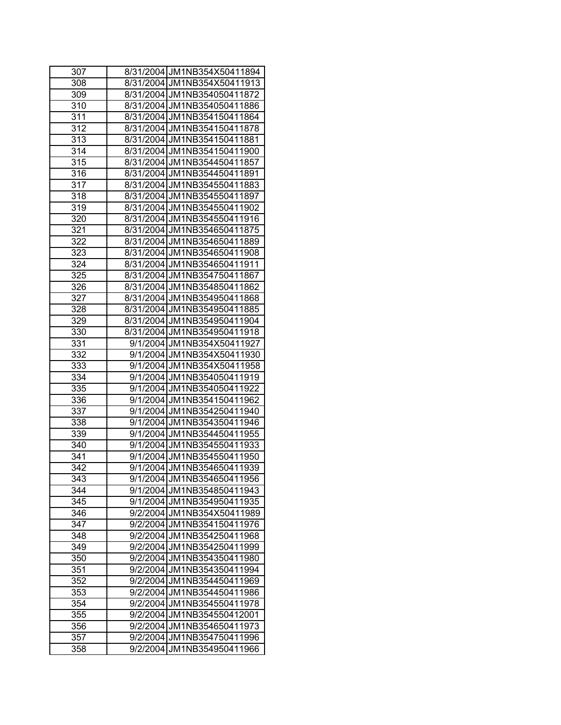| 307              | 8/31/2004 JM1NB354X50411894   |
|------------------|-------------------------------|
| 308              | 8/31/2004 JM1NB354X50411913   |
| 309              | 8/31/2004 JM1NB354050411872   |
| 310              | 8/31/2004 JM1NB354050411886   |
| 311              | 8/31/2004 JM1NB354150411864   |
| 312              | 8/31/2004 JM1NB354150411878   |
| $\overline{313}$ | 8/31/2004 JM1NB354150411881   |
| 314              | 8/31/2004 JM1NB354150411900   |
| 315              | 8/31/2004 JM1NB354450411857   |
| 316              | 8/31/2004 JM1NB354450411891   |
| 317              | 8/31/2004 JM1NB354550411883   |
| 318              | 8/31/2004 JM1NB354550411897   |
| 319              | 8/31/2004 JM1NB354550411902   |
| 320              | 8/31/2004 JM1NB354550411916   |
| 321              | 8/31/2004 JM1NB354650411875   |
| 322              | 8/31/2004 JM1NB354650411889   |
| 323              | 8/31/2004 JM1NB354650411908   |
| 324              | 8/31/2004 JM1NB354650411911   |
| 325              | 8/31/2004 JM1NB354750411867   |
| 326              | 8/31/2004 JM1NB354850411862   |
| 327              | 8/31/2004 JM1NB354950411868   |
| 328              | 8/31/2004 JM1NB354950411885   |
| 329              | 8/31/2004 JM1NB354950411904   |
| 330              | 8/31/2004 JM1NB354950411918   |
| 331              | 9/1/2004 JM1NB354X50411927    |
| 332              | 9/1/2004 JM1NB354X50411930    |
| 333              | 9/1/2004 JM1NB354X50411958    |
| 334              | 9/1/2004 JM1NB354050411919    |
| 335              | 9/1/2004 JM1NB354050411922    |
| 336              | 9/1/2004 JM1NB354150411962    |
| 337              | 9/1/2004 JM1NB354250411940    |
| 338              | 9/1/2004 JM1NB354350411946    |
| 339              | 9/1/2004 JM1NB354450411955    |
| 340              | 9/1/2004 JM1NB354550411933    |
| 341              | 9/1/2004 JM1NB354550411950    |
| 342              | 9/1/2004 JM1NB354650411939    |
| 343              | 9/1/2004 JM1NB354650411956    |
| 344              | 9/1/2004 JM1NB354850411943    |
| 345              | 9/1/2004 JM1NB354950411935    |
| 346              | 9/2/2004 JM1NB354X50411989    |
| 347              | 9/2/2004 JM1NB354150411976    |
| 348              | JM1NB354250411968<br>9/2/2004 |
| 349              | JM1NB354250411999<br>9/2/2004 |
| 350              | JM1NB354350411980<br>9/2/2004 |
| 351              | JM1NB354350411994<br>9/2/2004 |
| 352              | JM1NB354450411969<br>9/2/2004 |
| 353              | 9/2/2004<br>JM1NB354450411986 |
| 354              | 9/2/2004<br>JM1NB354550411978 |
| 355              | 9/2/2004<br>JM1NB354550412001 |
| 356              | 9/2/2004<br>JM1NB354650411973 |
| 357              | JM1NB354750411996<br>9/2/2004 |
| 358              | JM1NB354950411966<br>9/2/2004 |
|                  |                               |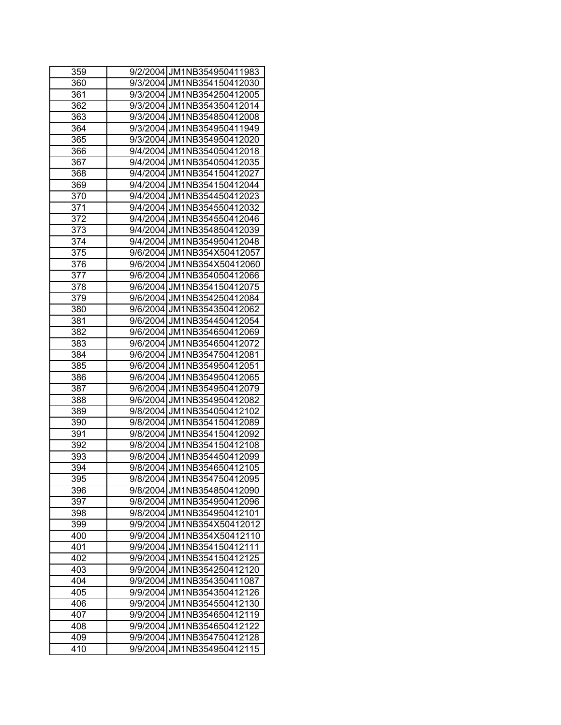| 359              |          | 9/2/2004 JM1NB354950411983 |
|------------------|----------|----------------------------|
| 360              |          | 9/3/2004 JM1NB354150412030 |
| $\overline{361}$ |          | 9/3/2004 JM1NB354250412005 |
| 362              |          | 9/3/2004 JM1NB354350412014 |
| 363              |          | 9/3/2004 JM1NB354850412008 |
| 364              |          | 9/3/2004 JM1NB354950411949 |
| 365              |          | 9/3/2004 JM1NB354950412020 |
| 366              |          | 9/4/2004 JM1NB354050412018 |
| 367              |          | 9/4/2004 JM1NB354050412035 |
| 368              |          | 9/4/2004 JM1NB354150412027 |
| 369              |          | 9/4/2004 JM1NB354150412044 |
| 370              |          | 9/4/2004 JM1NB354450412023 |
| 371              |          | 9/4/2004 JM1NB354550412032 |
| 372              |          | 9/4/2004 JM1NB354550412046 |
| 373              |          | 9/4/2004 JM1NB354850412039 |
| 374              |          | 9/4/2004 JM1NB354950412048 |
| 375              |          | 9/6/2004 JM1NB354X50412057 |
| 376              |          | 9/6/2004 JM1NB354X50412060 |
| 377              |          | 9/6/2004 JM1NB354050412066 |
| 378              |          | 9/6/2004 JM1NB354150412075 |
| 379              |          | 9/6/2004 JM1NB354250412084 |
| 380              |          | 9/6/2004 JM1NB354350412062 |
| 381              |          | 9/6/2004 JM1NB354450412054 |
| 382              |          | 9/6/2004 JM1NB354650412069 |
| 383              |          | 9/6/2004 JM1NB354650412072 |
| 384              |          | 9/6/2004 JM1NB354750412081 |
| 385              |          | 9/6/2004 JM1NB354950412051 |
| 386              |          | 9/6/2004 JM1NB354950412065 |
| 387              |          | 9/6/2004 JM1NB354950412079 |
| 388              |          | 9/6/2004 JM1NB354950412082 |
| 389              |          | 9/8/2004 JM1NB354050412102 |
| 390              |          | 9/8/2004 JM1NB354150412089 |
| 391              |          | 9/8/2004 JM1NB354150412092 |
| 392              |          | 9/8/2004 JM1NB354150412108 |
| 393              |          | 9/8/2004 JM1NB354450412099 |
| 394              |          | 9/8/2004 JM1NB354650412105 |
| 395              |          | 9/8/2004 JM1NB354750412095 |
| 396              |          | 9/8/2004 JM1NB354850412090 |
| 397              |          | 9/8/2004 JM1NB354950412096 |
| 398              |          | 9/8/2004 JM1NB354950412101 |
| 399              |          | 9/9/2004 JM1NB354X50412012 |
| 400              | 9/9/2004 | JM1NB354X50412110          |
| 401              | 9/9/2004 | JM1NB354150412111          |
| 402              |          | 9/9/2004 JM1NB354150412125 |
| 403              | 9/9/2004 | JM1NB354250412120          |
| 404              | 9/9/2004 | JM1NB354350411087          |
| 405              | 9/9/2004 | JM1NB354350412126          |
| 406              | 9/9/2004 | JM1NB354550412130          |
| 407              | 9/9/2004 | JM1NB354650412119          |
| 408              | 9/9/2004 | JM1NB354650412122          |
| 409              |          | 9/9/2004 JM1NB354750412128 |
| 410              |          | 9/9/2004 JM1NB354950412115 |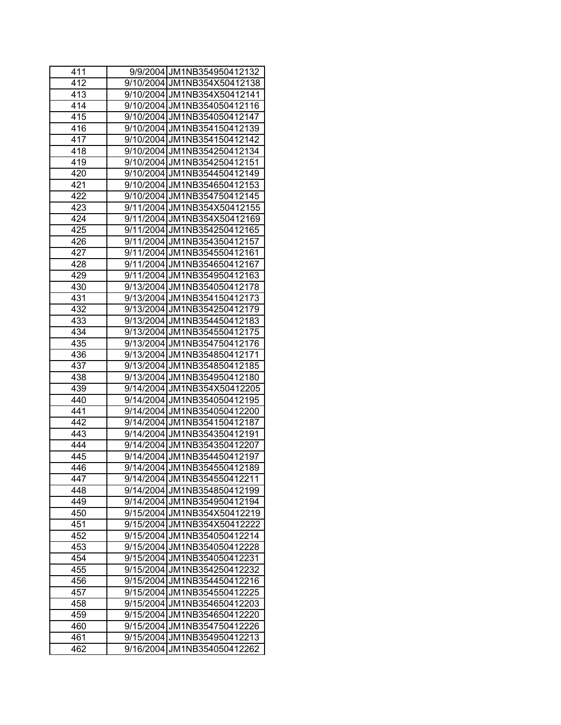| 411 | 9/9/2004 JM1NB354950412132     |
|-----|--------------------------------|
| 412 | 9/10/2004 JM1NB354X50412138    |
| 413 | 9/10/2004 JM1NB354X50412141    |
| 414 | 9/10/2004 JM1NB354050412116    |
| 415 | 9/10/2004 JM1NB354050412147    |
| 416 | 9/10/2004 JM1NB354150412139    |
| 417 | 9/10/2004 JM1NB354150412142    |
| 418 | 9/10/2004 JM1NB354250412134    |
| 419 | 9/10/2004 JM1NB354250412151    |
| 420 | 9/10/2004 JM1NB354450412149    |
| 421 | 9/10/2004 JM1NB354650412153    |
| 422 | 9/10/2004 JM1NB354750412145    |
| 423 | 9/11/2004 JM1NB354X50412155    |
| 424 | 9/11/2004 JM1NB354X50412169    |
| 425 | 9/11/2004 JM1NB354250412165    |
| 426 | 9/11/2004 JM1NB354350412157    |
| 427 | 9/11/2004 JM1NB354550412161    |
| 428 | 9/11/2004 JM1NB354650412167    |
| 429 | 9/11/2004 JM1NB354950412163    |
| 430 | 9/13/2004 JM1NB354050412178    |
| 431 | 9/13/2004 JM1NB354150412173    |
| 432 | 9/13/2004 JM1NB354250412179    |
| 433 | 9/13/2004 JM1NB354450412183    |
| 434 | 9/13/2004 JM1NB354550412175    |
| 435 | 9/13/2004 JM1NB354750412176    |
| 436 | 9/13/2004 JM1NB354850412171    |
| 437 | 9/13/2004 JM1NB354850412185    |
| 438 | 9/13/2004 JM1NB354950412180    |
| 439 | 9/14/2004 JM1NB354X50412205    |
| 440 | 9/14/2004 JM1NB354050412195    |
| 441 | 9/14/2004 JM1NB354050412200    |
| 442 | 9/14/2004 JM1NB354150412187    |
| 443 | 9/14/2004 JM1NB354350412191    |
| 444 | 9/14/2004 JM1NB354350412207    |
| 445 | 9/14/2004 JM1NB354450412197    |
| 446 | 9/14/2004 JM1NB354550412189    |
| 447 | 9/14/2004 JM1NB354550412211    |
| 448 | 9/14/2004 JM1NB354850412199    |
| 449 | 9/14/2004 JM1NB354950412194    |
| 450 | 9/15/2004 JM1NB354X50412219    |
| 451 | 9/15/2004 JM1NB354X50412222    |
| 452 | 9/15/2004 JM1NB354050412214    |
| 453 | 9/15/2004<br>JM1NB354050412228 |
| 454 | 9/15/2004<br>JM1NB354050412231 |
| 455 | 9/15/2004 JM1NB354250412232    |
| 456 | 9/15/2004 JM1NB354450412216    |
| 457 | 9/15/2004 JM1NB354550412225    |
| 458 | 9/15/2004<br>JM1NB354650412203 |
| 459 | 9/15/2004 JM1NB354650412220    |
| 460 | 9/15/2004 JM1NB354750412226    |
| 461 | 9/15/2004 JM1NB354950412213    |
| 462 | 9/16/2004 JM1NB354050412262    |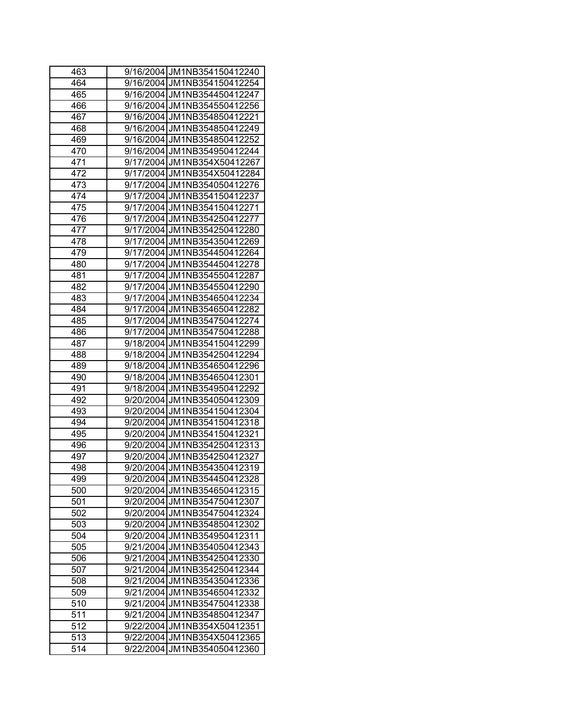| 463 | 9/16/2004 JM1NB354150412240    |
|-----|--------------------------------|
| 464 | 9/16/2004 JM1NB354150412254    |
| 465 | 9/16/2004 JM1NB354450412247    |
| 466 | 9/16/2004 JM1NB354550412256    |
| 467 | 9/16/2004 JM1NB354850412221    |
| 468 | 9/16/2004 JM1NB354850412249    |
| 469 | 9/16/2004 JM1NB354850412252    |
| 470 | 9/16/2004 JM1NB354950412244    |
| 471 | 9/17/2004 JM1NB354X50412267    |
| 472 | 9/17/2004 JM1NB354X50412284    |
| 473 | 9/17/2004 JM1NB354050412276    |
| 474 | 9/17/2004 JM1NB354150412237    |
| 475 | 9/17/2004 JM1NB354150412271    |
| 476 | 9/17/2004 JM1NB354250412277    |
| 477 | 9/17/2004 JM1NB354250412280    |
| 478 | 9/17/2004 JM1NB354350412269    |
| 479 | 9/17/2004 JM1NB354450412264    |
| 480 | 9/17/2004 JM1NB354450412278    |
| 481 | 9/17/2004 JM1NB354550412287    |
| 482 | 9/17/2004 JM1NB354550412290    |
| 483 | 9/17/2004 JM1NB354650412234    |
| 484 | 9/17/2004 JM1NB354650412282    |
| 485 | 9/17/2004 JM1NB354750412274    |
| 486 | 9/17/2004 JM1NB354750412288    |
| 487 | 9/18/2004 JM1NB354150412299    |
| 488 | 9/18/2004 JM1NB354250412294    |
| 489 | 9/18/2004 JM1NB354650412296    |
| 490 | 9/18/2004 JM1NB354650412301    |
| 491 | 9/18/2004 JM1NB354950412292    |
| 492 | 9/20/2004 JM1NB354050412309    |
| 493 | 9/20/2004 JM1NB354150412304    |
| 494 | 9/20/2004 JM1NB354150412318    |
| 495 | 9/20/2004 JM1NB354150412321    |
| 496 | 9/20/2004 JM1NB354250412313    |
| 497 | 9/20/2004 JM1NB354250412327    |
| 498 | 9/20/2004 JM1NB354350412319    |
| 499 | 9/20/2004 JM1NB354450412328    |
| 500 | 9/20/2004 JM1NB354650412315    |
| 501 | 9/20/2004 JM1NB354750412307    |
| 502 | 9/20/2004 JM1NB354750412324    |
| 503 | 9/20/2004 JM1NB354850412302    |
| 504 | 9/20/2004<br>JM1NB354950412311 |
| 505 | 9/21/2004<br>JM1NB354050412343 |
| 506 | 9/21/2004<br>JM1NB354250412330 |
| 507 | 9/21/2004<br>JM1NB354250412344 |
| 508 | 9/21/2004<br>JM1NB354350412336 |
| 509 | 9/21/2004<br>JM1NB354650412332 |
| 510 | 9/21/2004<br>JM1NB354750412338 |
| 511 | 9/21/2004<br>JM1NB354850412347 |
| 512 | 9/22/2004<br>JM1NB354X50412351 |
| 513 | 9/22/2004<br>JM1NB354X50412365 |
| 514 | JM1NB354050412360<br>9/22/2004 |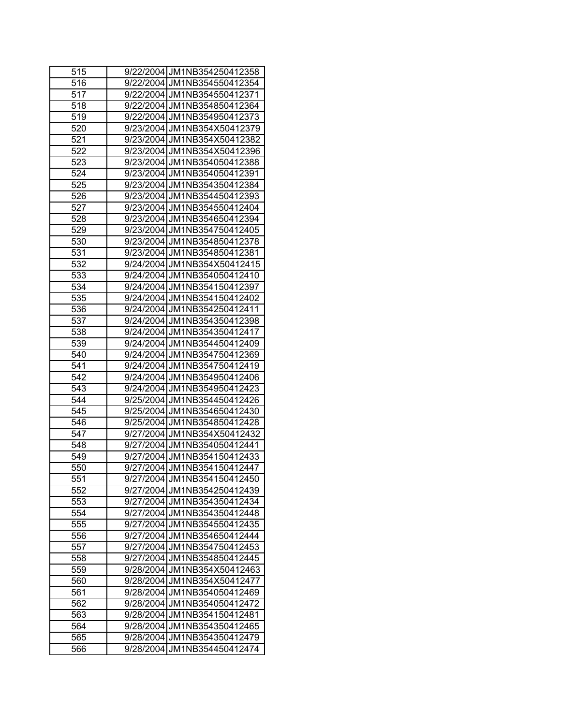| 515              | 9/22/2004 JM1NB354250412358    |
|------------------|--------------------------------|
| 516              | 9/22/2004 JM1NB354550412354    |
| 517              | 9/22/2004 JM1NB354550412371    |
| 518              | 9/22/2004 JM1NB354850412364    |
| 519              | 9/22/2004 JM1NB354950412373    |
| $\overline{520}$ | 9/23/2004 JM1NB354X50412379    |
| 521              | 9/23/2004 JM1NB354X50412382    |
| 522              | 9/23/2004 JM1NB354X50412396    |
| 523              | 9/23/2004 JM1NB354050412388    |
| 524              | 9/23/2004 JM1NB354050412391    |
| 525              | 9/23/2004 JM1NB354350412384    |
| 526              | 9/23/2004 JM1NB354450412393    |
| 527              | 9/23/2004 JM1NB354550412404    |
| 528              | 9/23/2004 JM1NB354650412394    |
| 529              | 9/23/2004 JM1NB354750412405    |
| 530              | 9/23/2004 JM1NB354850412378    |
| 531              | 9/23/2004 JM1NB354850412381    |
| 532              | 9/24/2004 JM1NB354X50412415    |
| 533              | 9/24/2004 JM1NB354050412410    |
| 534              | 9/24/2004 JM1NB354150412397    |
| $\overline{5}35$ | 9/24/2004 JM1NB354150412402    |
| 536              | 9/24/2004 JM1NB354250412411    |
| 537              | 9/24/2004 JM1NB354350412398    |
| 538              | 9/24/2004 JM1NB354350412417    |
| 539              | 9/24/2004 JM1NB354450412409    |
| 540              | 9/24/2004 JM1NB354750412369    |
| 541              | 9/24/2004 JM1NB354750412419    |
| 542              | 9/24/2004 JM1NB354950412406    |
| 543              | 9/24/2004 JM1NB354950412423    |
| 544              | 9/25/2004 JM1NB354450412426    |
| 545              | 9/25/2004 JM1NB354650412430    |
| 546              | JM1NB354850412428<br>9/25/2004 |
| 547              | 9/27/2004 JM1NB354X50412432    |
| 548              | 9/27/2004LJM1NB354050412441    |
| 549              | 9/27/2004 JM1NB354150412433    |
| 550              | 9/27/2004 JM1NB354150412447    |
| 551              | 9/27/2004 JM1NB354150412450    |
| 552              | 9/27/2004 JM1NB354250412439    |
| 553              | 9/27/2004 JM1NB354350412434    |
| 554              | 9/27/2004 JM1NB354350412448    |
| 555              | 9/27/2004 JM1NB354550412435    |
| 556              | 9/27/2004<br>JM1NB354650412444 |
| 557              | JM1NB354750412453<br>9/27/2004 |
| 558              | 9/27/2004<br>JM1NB354850412445 |
| 559              | 9/28/2004<br>JM1NB354X50412463 |
| 560              | 9/28/2004<br>JM1NB354X50412477 |
| 561              | JM1NB354050412469<br>9/28/2004 |
| 562              | JM1NB354050412472<br>9/28/2004 |
| 563              | 9/28/2004<br>JM1NB354150412481 |
| 564              | 9/28/2004<br>JM1NB354350412465 |
| 565              | JM1NB354350412479<br>9/28/2004 |
| 566              | JM1NB354450412474<br>9/28/2004 |
|                  |                                |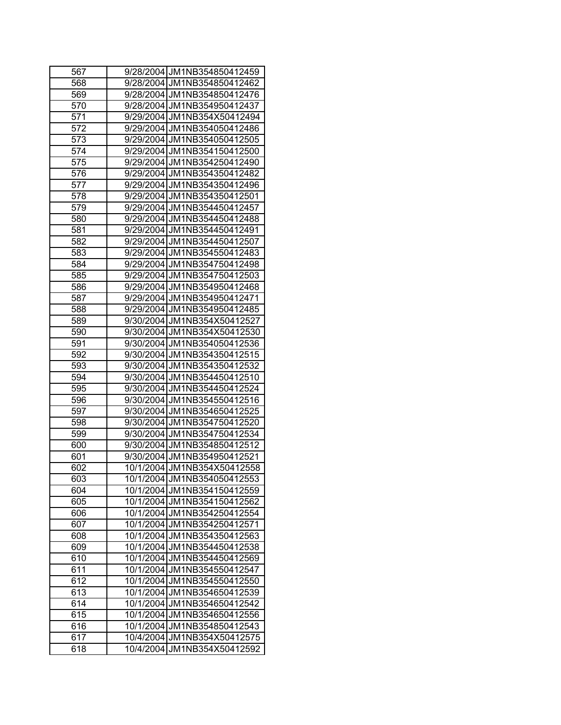| 567              | 9/28/2004 JM1NB354850412459     |
|------------------|---------------------------------|
| 568              | 9/28/2004 JM1NB354850412462     |
| 569              | 9/28/2004 JM1NB354850412476     |
| 570              | 9/28/2004 JM1NB354950412437     |
| 571              | 9/29/2004 JM1NB354X50412494     |
| $\overline{572}$ | 9/29/2004 JM1NB354050412486     |
| 573              | 9/29/2004 JM1NB354050412505     |
| 574              | 9/29/2004 JM1NB354150412500     |
| 575              | 9/29/2004 JM1NB354250412490     |
| 576              | 9/29/2004 JM1NB354350412482     |
| 577              | 9/29/2004 JM1NB354350412496     |
| 578              | 9/29/2004 JM1NB354350412501     |
| 579              | 9/29/2004 JM1NB354450412457     |
| 580              | 9/29/2004 JM1NB354450412488     |
| 581              | JM1NB354450412491<br>9/29/2004  |
| 582              | 9/29/2004 JM1NB354450412507     |
| 583              | JM1NB354550412483<br>9/29/20041 |
| 584              | 9/29/2004 JM1NB354750412498     |
| 585              | 9/29/2004 JM1NB354750412503     |
| 586              | 9/29/2004 JM1NB354950412468     |
| 587              | 9/29/2004 JM1NB354950412471     |
| 588              | 9/29/2004 JM1NB354950412485     |
| 589              | 9/30/2004 JM1NB354X50412527     |
| 590              | 9/30/2004 JM1NB354X50412530     |
| 591              | JM1NB354050412536<br>9/30/2004  |
| 592              | JM1NB354350412515<br>9/30/2004  |
| 593              | JM1NB354350412532<br>9/30/2004  |
| 594              | 9/30/2004 JM1NB354450412510     |
| 595              | 9/30/2004 JM1NB354450412524     |
| 596              | 9/30/2004 JM1NB354550412516     |
| 597              | 9/30/2004 JM1NB354650412525     |
| 598              | JM1NB354750412520<br>9/30/2004  |
| 599              | JM1NB354750412534<br>9/30/2004  |
| 600              | JM1NB354850412512<br>9/30/20041 |
| 601              | 9/30/2004 JM1NB354950412521     |
| 602              | 10/1/2004 JM1NB354X50412558     |
| 603              | 10/1/2004 JM1NB354050412553     |
| 604              | 10/1/2004 JM1NB354150412559     |
| 605              | 10/1/2004 JM1NB354150412562     |
| 606              | 10/1/2004 JM1NB354250412554     |
| 607              | 10/1/2004 JM1NB354250412571     |
| 608              | JM1NB354350412563<br>10/1/2004  |
| 609              | JM1NB354450412538<br>10/1/2004  |
| 610              | JM1NB354450412569<br>10/1/2004  |
| 611              | JM1NB354550412547<br>10/1/2004  |
| 612              | 10/1/2004<br>JM1NB354550412550  |
| 613              | 10/1/2004<br>JM1NB354650412539  |
| 614              | 10/1/2004<br>JM1NB354650412542  |
| 615              | 10/1/2004<br>JM1NB354650412556  |
| 616              | 10/1/2004<br>JM1NB354850412543  |
| 617              | 10/4/2004<br>JM1NB354X50412575  |
| 618              | JM1NB354X50412592<br>10/4/2004  |
|                  |                                 |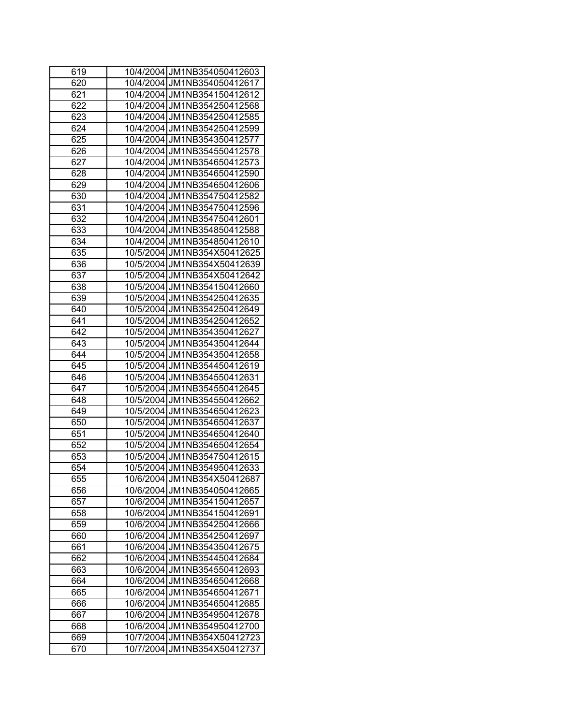| 619 | 10/4/2004 JM1NB354050412603    |
|-----|--------------------------------|
| 620 | 10/4/2004 JM1NB354050412617    |
| 621 | 10/4/2004 JM1NB354150412612    |
| 622 | 10/4/2004 JM1NB354250412568    |
| 623 | 10/4/2004 JM1NB354250412585    |
| 624 | 10/4/2004 JM1NB354250412599    |
| 625 | 10/4/2004 JM1NB354350412577    |
| 626 | 10/4/2004 JM1NB354550412578    |
| 627 | 10/4/2004 JM1NB354650412573    |
| 628 | 10/4/2004 JM1NB354650412590    |
| 629 | 10/4/2004 JM1NB354650412606    |
| 630 | 10/4/2004 JM1NB354750412582    |
| 631 | 10/4/2004 JM1NB354750412596    |
| 632 | 10/4/2004 JM1NB354750412601    |
| 633 | 10/4/2004 JM1NB354850412588    |
| 634 | 10/4/2004 JM1NB354850412610    |
| 635 | 10/5/2004 JM1NB354X50412625    |
| 636 | 10/5/2004 JM1NB354X50412639    |
| 637 | 10/5/2004 JM1NB354X50412642    |
| 638 | 10/5/2004 JM1NB354150412660    |
| 639 | 10/5/2004 JM1NB354250412635    |
| 640 | 10/5/2004 JM1NB354250412649    |
| 641 | 10/5/2004 JM1NB354250412652    |
| 642 | 10/5/2004 JM1NB354350412627    |
| 643 | 10/5/2004 JM1NB354350412644    |
| 644 | 10/5/2004 JM1NB354350412658    |
| 645 | 10/5/2004 JM1NB354450412619    |
| 646 | 10/5/2004 JM1NB354550412631    |
| 647 | 10/5/2004 JM1NB354550412645    |
| 648 | 10/5/2004 JM1NB354550412662    |
| 649 | 10/5/2004 JM1NB354650412623    |
| 650 | 10/5/2004 JM1NB354650412637    |
| 651 | 10/5/2004 JM1NB354650412640    |
| 652 | 10/5/2004 JM1NB354650412654    |
| 653 | 10/5/2004 JM1NB354750412615    |
| 654 | 10/5/2004 JM1NB354950412633    |
| 655 | 10/6/2004 JM1NB354X50412687    |
| 656 | 10/6/2004 JM1NB354050412665    |
| 657 | 10/6/2004 JM1NB354150412657    |
| 658 | 10/6/2004 JM1NB354150412691    |
| 659 | 10/6/2004 JM1NB354250412666    |
| 660 | JM1NB354250412697<br>10/6/2004 |
| 661 | JM1NB354350412675<br>10/6/2004 |
| 662 | JM1NB354450412684<br>10/6/2004 |
| 663 | JM1NB354550412693<br>10/6/2004 |
| 664 | 10/6/2004<br>JM1NB354650412668 |
| 665 | JM1NB354650412671<br>10/6/2004 |
| 666 | 10/6/2004<br>JM1NB354650412685 |
| 667 | 10/6/2004<br>JM1NB354950412678 |
| 668 | 10/6/2004<br>JM1NB354950412700 |
| 669 | 10/7/2004<br>JM1NB354X50412723 |
| 670 | JM1NB354X50412737<br>10/7/2004 |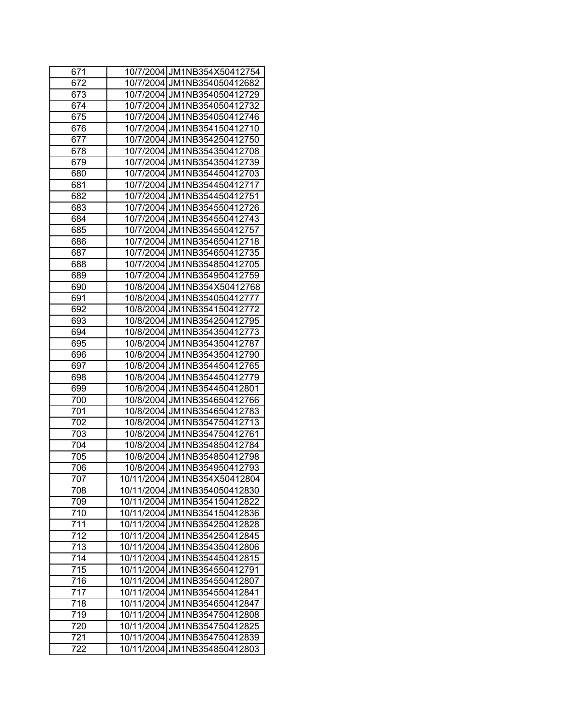| 671              | 10/7/2004 JM1NB354X50412754     |
|------------------|---------------------------------|
| 672              | 10/7/2004 JM1NB354050412682     |
| 673              | 10/7/2004 JM1NB354050412729     |
| 674              | 10/7/2004 JM1NB354050412732     |
| 675              | 10/7/2004 JM1NB354050412746     |
| 676              | 10/7/2004 JM1NB354150412710     |
| 677              | 10/7/2004 JM1NB354250412750     |
| 678              | 10/7/2004 JM1NB354350412708     |
| 679              | 10/7/2004 JM1NB354350412739     |
| 680              | 10/7/2004 JM1NB354450412703     |
| 681              | 10/7/2004 JM1NB354450412717     |
| 682              | 10/7/2004 JM1NB354450412751     |
| 683              | 10/7/2004 JM1NB354550412726     |
| 684              | 10/7/2004 JM1NB354550412743     |
| 685              | 10/7/2004 JM1NB354550412757     |
| 686              | 10/7/2004 JM1NB354650412718     |
| 687              | 10/7/2004 JM1NB354650412735     |
| 688              | 10/7/2004 JM1NB354850412705     |
| 689              | 10/7/2004 JM1NB354950412759     |
| 690              | 10/8/2004 JM1NB354X50412768     |
| 691              | 10/8/2004 JM1NB354050412777     |
| 692              | 10/8/2004 JM1NB354150412772     |
| 693              | 10/8/2004 JM1NB354250412795     |
| 694              | 10/8/2004 JM1NB354350412773     |
| 695              | 10/8/2004 JM1NB354350412787     |
| 696              | 10/8/2004 JM1NB354350412790     |
| 697              | 10/8/2004 JM1NB354450412765     |
| 698              | 10/8/2004 JM1NB354450412779     |
| 699              | 10/8/2004 JM1NB354450412801     |
| 700              | 10/8/2004 JM1NB354650412766     |
| 701              | 10/8/2004 JM1NB354650412783     |
| 702              | 10/8/2004 JM1NB354750412713     |
| 703              | 10/8/2004 JM1NB354750412761     |
| 704              | 10/8/2004 JM1NB354850412784     |
| 705              | 10/8/2004 JM1NB354850412798     |
| 706              | 10/8/2004 JM1NB354950412793     |
| 707              | 10/11/2004 JM1NB354X50412804    |
| 708              | 10/11/2004 JM1NB354050412830    |
| 709              | 10/11/2004 JM1NB354150412822    |
| 710              | 10/11/2004 JM1NB354150412836    |
| 711              | 10/11/2004 JM1NB354250412828    |
| 712              | 10/11/2004 JM1NB354250412845    |
| 713              | JM1NB354350412806<br>10/11/2004 |
| $\overline{714}$ | 10/11/2004<br>JM1NB354450412815 |
| $\overline{715}$ | 10/11/2004<br>JM1NB354550412791 |
| 716              | 10/11/2004<br>JM1NB354550412807 |
| 717              | JM1NB354550412841<br>10/11/2004 |
| 718              | 10/11/2004<br>JM1NB354650412847 |
| 719              | 10/11/2004<br>JM1NB354750412808 |
| 720              | 10/11/2004<br>JM1NB354750412825 |
| 721              | 10/11/2004 JM1NB354750412839    |
| 722              | 10/11/2004 JM1NB354850412803    |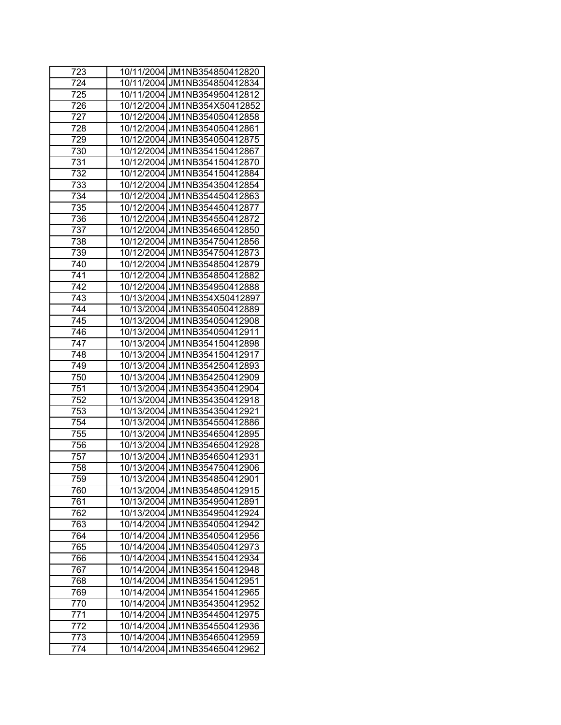| 723 | 10/11/2004 JM1NB354850412820    |
|-----|---------------------------------|
| 724 | 10/11/2004 JM1NB354850412834    |
| 725 | 10/11/2004 JM1NB354950412812    |
| 726 | 10/12/2004 JM1NB354X50412852    |
| 727 | 10/12/2004 JM1NB354050412858    |
| 728 | 10/12/2004 JM1NB354050412861    |
| 729 | 10/12/2004 JM1NB354050412875    |
| 730 | 10/12/2004 JM1NB354150412867    |
| 731 | 10/12/2004 JM1NB354150412870    |
| 732 | 10/12/2004 JM1NB354150412884    |
| 733 | 10/12/2004 JM1NB354350412854    |
| 734 | 10/12/2004 JM1NB354450412863    |
| 735 | 10/12/2004 JM1NB354450412877    |
| 736 | 10/12/2004 JM1NB354550412872    |
| 737 | 10/12/2004 JM1NB354650412850    |
| 738 | 10/12/2004 JM1NB354750412856    |
| 739 | 10/12/2004 JM1NB354750412873    |
| 740 | 10/12/2004 JM1NB354850412879    |
| 741 | 10/12/2004 JM1NB354850412882    |
| 742 | 10/12/2004 JM1NB354950412888    |
| 743 | 10/13/2004 JM1NB354X50412897    |
| 744 | 10/13/2004 JM1NB354050412889    |
| 745 | 10/13/2004 JM1NB354050412908    |
| 746 | 10/13/2004 JM1NB354050412911    |
| 747 | 10/13/2004 JM1NB354150412898    |
| 748 | 10/13/2004 JM1NB354150412917    |
| 749 | 10/13/2004 JM1NB354250412893    |
| 750 | 10/13/2004 JM1NB354250412909    |
| 751 | 10/13/2004 JM1NB354350412904    |
| 752 | 10/13/2004 JM1NB354350412918    |
| 753 | 10/13/2004 JM1NB354350412921    |
| 754 | 10/13/2004 JM1NB354550412886    |
| 755 | 10/13/2004 JM1NB354650412895    |
| 756 | 10/13/2004 JM1NB354650412928    |
| 757 | 10/13/2004 JM1NB354650412931    |
| 758 | 10/13/2004 JM1NB354750412906    |
| 759 | 10/13/2004 JM1NB354850412901    |
| 760 | 10/13/2004 JM1NB354850412915    |
| 761 | 10/13/2004 JM1NB354950412891    |
| 762 | 10/13/2004 JM1NB354950412924    |
| 763 | 10/14/2004 JM1NB354050412942    |
| 764 | 10/14/2004<br>JM1NB354050412956 |
| 765 | JM1NB354050412973<br>10/14/2004 |
| 766 | 10/14/2004<br>JM1NB354150412934 |
| 767 | 10/14/2004<br>JM1NB354150412948 |
| 768 | 10/14/2004<br>JM1NB354150412951 |
| 769 | JM1NB354150412965<br>10/14/2004 |
| 770 | 10/14/2004<br>JM1NB354350412952 |
| 771 | 10/14/2004<br>JM1NB354450412975 |
| 772 | 10/14/2004<br>JM1NB354550412936 |
| 773 | 10/14/2004<br>JM1NB354650412959 |
| 774 | 10/14/2004<br>JM1NB354650412962 |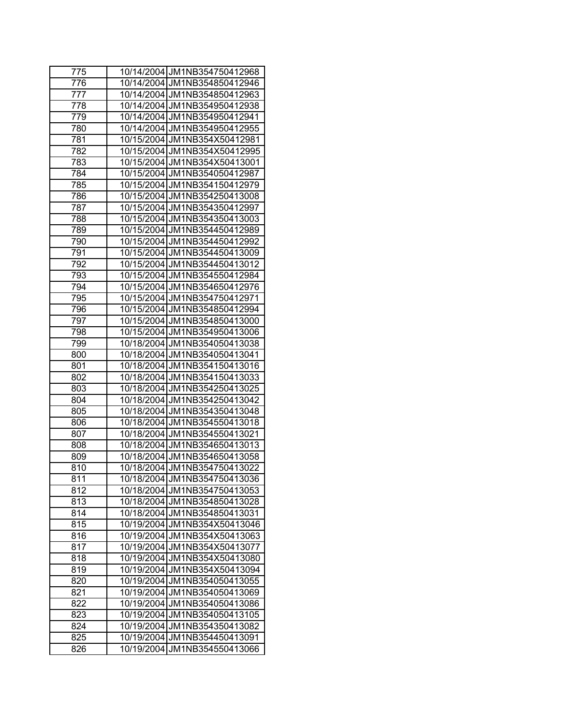| 775 | 10/14/2004 JM1NB354750412968    |
|-----|---------------------------------|
| 776 | 10/14/2004 JM1NB354850412946    |
| 777 | 10/14/2004 JM1NB354850412963    |
| 778 | 10/14/2004 JM1NB354950412938    |
| 779 | 10/14/2004 JM1NB354950412941    |
| 780 | 10/14/2004 JM1NB354950412955    |
| 781 | 10/15/2004 JM1NB354X50412981    |
| 782 | 10/15/2004 JM1NB354X50412995    |
| 783 | 10/15/2004 JM1NB354X50413001    |
| 784 | 10/15/2004 JM1NB354050412987    |
| 785 | 10/15/2004 JM1NB354150412979    |
| 786 | 10/15/2004 JM1NB354250413008    |
| 787 | 10/15/2004 JM1NB354350412997    |
| 788 | 10/15/2004 JM1NB354350413003    |
| 789 | 10/15/2004 JM1NB354450412989    |
| 790 | 10/15/2004 JM1NB354450412992    |
| 791 | 10/15/2004 JM1NB354450413009    |
| 792 | 10/15/2004 JM1NB354450413012    |
| 793 | 10/15/2004 JM1NB354550412984    |
| 794 | 10/15/2004 JM1NB354650412976    |
| 795 | 10/15/2004 JM1NB354750412971    |
| 796 | 10/15/2004 JM1NB354850412994    |
| 797 | 10/15/2004 JM1NB354850413000    |
| 798 | 10/15/2004 JM1NB354950413006    |
| 799 | 10/18/2004 JM1NB354050413038    |
| 800 | 10/18/2004 JM1NB354050413041    |
| 801 | 10/18/2004 JM1NB354150413016    |
| 802 | 10/18/2004 JM1NB354150413033    |
| 803 | 10/18/2004 JM1NB354250413025    |
| 804 | 10/18/2004 JM1NB354250413042    |
| 805 | 10/18/2004 JM1NB354350413048    |
| 806 | 10/18/2004 JM1NB354550413018    |
| 807 | 10/18/2004 JM1NB354550413021    |
| 808 | 10/18/2004 JM1NB354650413013    |
| 809 | 10/18/2004 JM1NB354650413058    |
| 810 | 10/18/2004 JM1NB354750413022    |
| 811 | 10/18/2004 JM1NB354750413036    |
| 812 | 10/18/2004 JM1NB354750413053    |
| 813 | 10/18/2004 JM1NB354850413028    |
| 814 | 10/18/2004 JM1NB354850413031    |
| 815 | 10/19/2004 JM1NB354X50413046    |
| 816 | JM1NB354X50413063<br>10/19/2004 |
| 817 | JM1NB354X50413077<br>10/19/2004 |
| 818 | JM1NB354X50413080<br>10/19/2004 |
| 819 | JM1NB354X50413094<br>10/19/2004 |
| 820 | 10/19/2004<br>JM1NB354050413055 |
| 821 | 10/19/2004<br>JM1NB354050413069 |
| 822 | 10/19/2004<br>JM1NB354050413086 |
| 823 | 10/19/2004<br>JM1NB354050413105 |
| 824 | 10/19/2004<br>JM1NB354350413082 |
| 825 | 10/19/2004 JM1NB354450413091    |
| 826 | 10/19/2004 JM1NB354550413066    |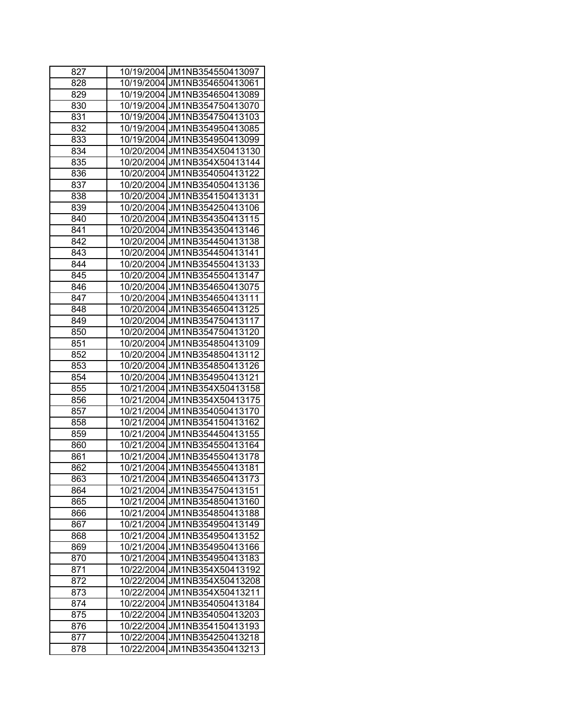| 827 | 10/19/2004 JM1NB354550413097    |
|-----|---------------------------------|
| 828 | 10/19/2004 JM1NB354650413061    |
| 829 | 10/19/2004 JM1NB354650413089    |
| 830 | 10/19/2004 JM1NB354750413070    |
| 831 | 10/19/2004 JM1NB354750413103    |
| 832 | 10/19/2004 JM1NB354950413085    |
| 833 | 10/19/2004 JM1NB354950413099    |
| 834 | 10/20/2004 JM1NB354X50413130    |
| 835 | 10/20/2004 JM1NB354X50413144    |
| 836 | 10/20/2004 JM1NB354050413122    |
| 837 | 10/20/2004 JM1NB354050413136    |
| 838 | 10/20/2004 JM1NB354150413131    |
| 839 | 10/20/2004 JM1NB354250413106    |
| 840 | 10/20/2004 JM1NB354350413115    |
| 841 | 10/20/2004 JM1NB354350413146    |
| 842 | 10/20/2004 JM1NB354450413138    |
| 843 | 10/20/2004 JM1NB354450413141    |
| 844 | 10/20/2004 JM1NB354550413133    |
| 845 | 10/20/2004 JM1NB354550413147    |
| 846 | 10/20/2004 JM1NB354650413075    |
| 847 | 10/20/2004 JM1NB354650413111    |
| 848 | 10/20/2004 JM1NB354650413125    |
| 849 | 10/20/2004 JM1NB354750413117    |
| 850 | 10/20/2004 JM1NB354750413120    |
| 851 | 10/20/2004 JM1NB354850413109    |
| 852 | 10/20/2004 JM1NB354850413112    |
| 853 | 10/20/2004 JM1NB354850413126    |
| 854 | 10/20/2004 JM1NB354950413121    |
| 855 | 10/21/2004 JM1NB354X50413158    |
| 856 | 10/21/2004 JM1NB354X50413175    |
| 857 | 10/21/2004 JM1NB354050413170    |
| 858 | 10/21/2004 JM1NB354150413162    |
| 859 | 10/21/2004 JM1NB354450413155    |
| 860 | 10/21/2004 JM1NB354550413164    |
| 861 | 10/21/2004 JM1NB354550413178    |
| 862 | 10/21/2004 JM1NB354550413181    |
| 863 | 10/21/2004 JM1NB354650413173    |
| 864 | 10/21/2004 JM1NB354750413151    |
| 865 | 10/21/2004 JM1NB354850413160    |
| 866 | 10/21/2004 JM1NB354850413188    |
| 867 | 10/21/2004 JM1NB354950413149    |
| 868 | JM1NB354950413152<br>10/21/2004 |
| 869 | JM1NB354950413166<br>10/21/2004 |
| 870 | JM1NB354950413183<br>10/21/2004 |
| 871 | JM1NB354X50413192<br>10/22/2004 |
| 872 | JM1NB354X50413208<br>10/22/2004 |
| 873 | 10/22/2004<br>JM1NB354X50413211 |
| 874 | JM1NB354050413184<br>10/22/2004 |
| 875 | 10/22/2004<br>JM1NB354050413203 |
| 876 | 10/22/2004<br>JM1NB354150413193 |
| 877 | JM1NB354250413218<br>10/22/2004 |
| 878 | JM1NB354350413213<br>10/22/2004 |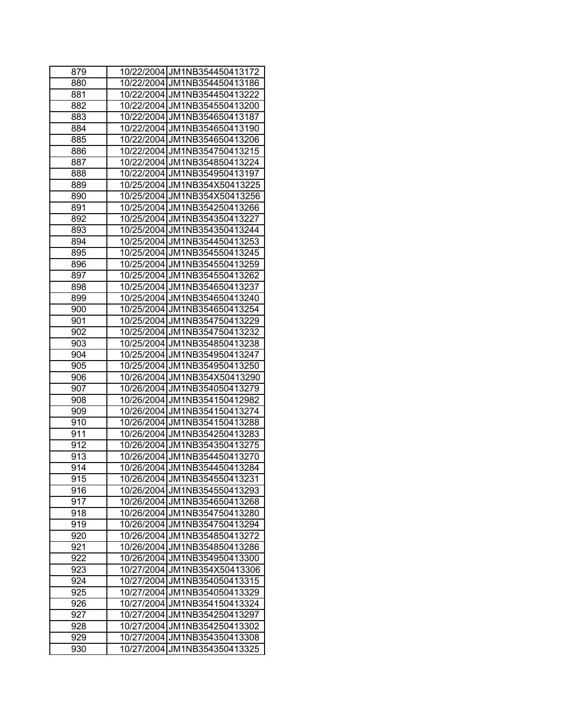| 879 | 10/22/2004 JM1NB354450413172    |
|-----|---------------------------------|
| 880 | 10/22/2004 JM1NB354450413186    |
| 881 | 10/22/2004 JM1NB354450413222    |
| 882 | 10/22/2004 JM1NB354550413200    |
| 883 | 10/22/2004 JM1NB354650413187    |
| 884 | 10/22/2004 JM1NB354650413190    |
| 885 | 10/22/2004 JM1NB354650413206    |
| 886 | 10/22/2004 JM1NB354750413215    |
| 887 | 10/22/2004 JM1NB354850413224    |
| 888 | 10/22/2004 JM1NB354950413197    |
| 889 | 10/25/2004 JM1NB354X50413225    |
| 890 | 10/25/2004 JM1NB354X50413256    |
| 891 | 10/25/2004 JM1NB354250413266    |
| 892 | 10/25/2004 JM1NB354350413227    |
| 893 | JM1NB354350413244<br>10/25/2004 |
| 894 | 10/25/2004 JM1NB354450413253    |
| 895 | 10/25/2004 JM1NB354550413245    |
| 896 | 10/25/2004 JM1NB354550413259    |
| 897 | 10/25/2004 JM1NB354550413262    |
| 898 | 10/25/2004 JM1NB354650413237    |
| 899 | 10/25/2004 JM1NB354650413240    |
| 900 | 10/25/2004 JM1NB354650413254    |
| 901 | 10/25/2004 JM1NB354750413229    |
| 902 | 10/25/2004 JM1NB354750413232    |
| 903 | 10/25/2004 JM1NB354850413238    |
| 904 | 10/25/2004 JM1NB354950413247    |
| 905 | 10/25/2004 JM1NB354950413250    |
| 906 | 10/26/2004 JM1NB354X50413290    |
| 907 | 10/26/2004 JM1NB354050413279    |
| 908 | 10/26/2004 JM1NB354150412982    |
| 909 | 10/26/2004 JM1NB354150413274    |
| 910 | JM1NB354150413288<br>10/26/2004 |
| 911 | 10/26/2004 JM1NB354250413283    |
| 912 | 10/26/2004 JM1NB354350413275    |
| 913 | 10/26/2004 JM1NB354450413270    |
| 914 | 10/26/2004 JM1NB354450413284    |
| 915 | 10/26/2004 JM1NB354550413231    |
| 916 | 10/26/2004 JM1NB354550413293    |
| 917 | 10/26/2004 JM1NB354650413268    |
| 918 | 10/26/2004 JM1NB354750413280    |
| 919 | JM1NB354750413294<br>10/26/2004 |
| 920 | 10/26/2004<br>JM1NB354850413272 |
| 921 | 10/26/2004<br>JM1NB354850413286 |
| 922 | 10/26/2004<br>JM1NB354950413300 |
| 923 | JM1NB354X50413306<br>10/27/2004 |
| 924 | 10/27/2004<br>JM1NB354050413315 |
| 925 | 10/27/2004<br>JM1NB354050413329 |
| 926 | 10/27/2004<br>JM1NB354150413324 |
| 927 | 10/27/2004<br>JM1NB354250413297 |
| 928 | 10/27/2004<br>JM1NB354250413302 |
| 929 | 10/27/2004 JM1NB354350413308    |
| 930 | JM1NB354350413325<br>10/27/2004 |
|     |                                 |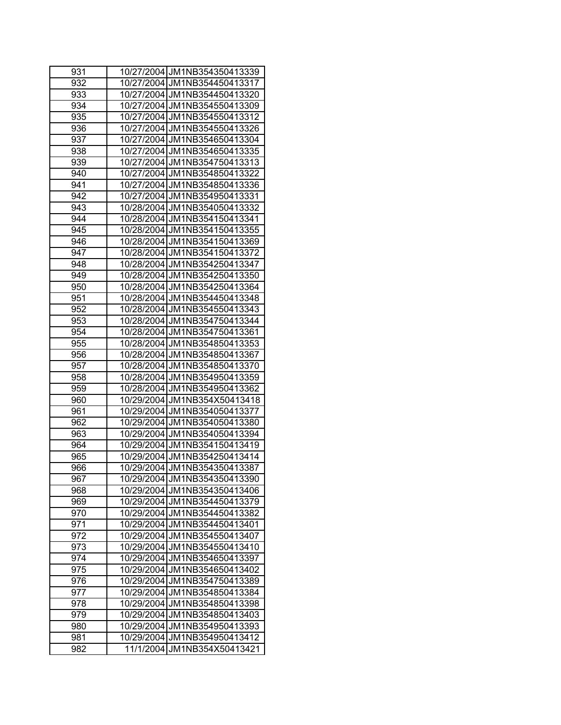| 931 | 10/27/2004 JM1NB354350413339    |
|-----|---------------------------------|
| 932 | 10/27/2004 JM1NB354450413317    |
| 933 | 10/27/2004 JM1NB354450413320    |
| 934 | 10/27/2004 JM1NB354550413309    |
| 935 | 10/27/2004 JM1NB354550413312    |
| 936 | 10/27/2004 JM1NB354550413326    |
| 937 | 10/27/2004 JM1NB354650413304    |
| 938 | 10/27/2004 JM1NB354650413335    |
| 939 | 10/27/2004 JM1NB354750413313    |
| 940 | 10/27/2004 JM1NB354850413322    |
| 941 | 10/27/2004 JM1NB354850413336    |
| 942 | 10/27/2004 JM1NB354950413331    |
| 943 | 10/28/2004 JM1NB354050413332    |
| 944 | 10/28/2004 JM1NB354150413341    |
| 945 | 10/28/2004 JM1NB354150413355    |
| 946 | 10/28/2004 JM1NB354150413369    |
| 947 | 10/28/2004 JM1NB354150413372    |
| 948 | 10/28/2004 JM1NB354250413347    |
| 949 | 10/28/2004 JM1NB354250413350    |
| 950 | 10/28/2004 JM1NB354250413364    |
| 951 | 10/28/2004 JM1NB354450413348    |
| 952 | 10/28/2004 JM1NB354550413343    |
| 953 | 10/28/2004 JM1NB354750413344    |
| 954 | 10/28/2004 JM1NB354750413361    |
| 955 | 10/28/2004 JM1NB354850413353    |
| 956 | 10/28/2004 JM1NB354850413367    |
| 957 | 10/28/2004 JM1NB354850413370    |
| 958 | 10/28/2004 JM1NB354950413359    |
| 959 | 10/28/2004 JM1NB354950413362    |
| 960 | 10/29/2004 JM1NB354X50413418    |
| 961 | 10/29/2004 JM1NB354050413377    |
| 962 | 10/29/2004 JM1NB354050413380    |
| 963 | 10/29/2004 JM1NB354050413394    |
| 964 | 10/29/2004 JM1NB354150413419    |
| 965 | 10/29/2004 JM1NB354250413414    |
| 966 | 10/29/2004 JM1NB354350413387    |
| 967 | 10/29/2004 JM1NB354350413390    |
| 968 | 10/29/2004 JM1NB354350413406    |
| 969 | 10/29/2004 JM1NB354450413379    |
| 970 | 10/29/2004 JM1NB354450413382    |
| 971 | 10/29/2004 JM1NB354450413401    |
| 972 | 10/29/2004 JM1NB354550413407    |
| 973 | JM1NB354550413410<br>10/29/2004 |
| 974 | 10/29/2004<br>JM1NB354650413397 |
| 975 | JM1NB354650413402<br>10/29/2004 |
| 976 | 10/29/2004<br>JM1NB354750413389 |
| 977 | JM1NB354850413384<br>10/29/2004 |
| 978 | JM1NB354850413398<br>10/29/2004 |
| 979 | 10/29/2004<br>JM1NB354850413403 |
| 980 | 10/29/2004<br>JM1NB354950413393 |
| 981 | 10/29/2004 JM1NB354950413412    |
| 982 | JM1NB354X50413421<br>11/1/2004  |
|     |                                 |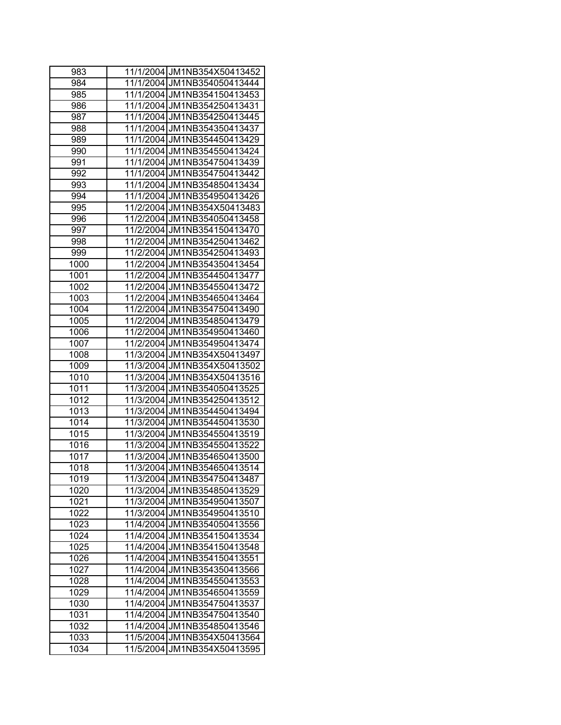| 983  | 11/1/2004 JM1NB354X50413452 |
|------|-----------------------------|
| 984  | 11/1/2004 JM1NB354050413444 |
| 985  | 11/1/2004 JM1NB354150413453 |
| 986  | 11/1/2004 JM1NB354250413431 |
| 987  | 11/1/2004 JM1NB354250413445 |
| 988  | 11/1/2004 JM1NB354350413437 |
| 989  | 11/1/2004 JM1NB354450413429 |
| 990  | 11/1/2004 JM1NB354550413424 |
| 991  | 11/1/2004 JM1NB354750413439 |
| 992  | 11/1/2004 JM1NB354750413442 |
| 993  | 11/1/2004 JM1NB354850413434 |
| 994  | 11/1/2004 JM1NB354950413426 |
| 995  | 11/2/2004 JM1NB354X50413483 |
| 996  | 11/2/2004 JM1NB354050413458 |
| 997  | 11/2/2004 JM1NB354150413470 |
| 998  | 11/2/2004 JM1NB354250413462 |
| 999  | 11/2/2004 JM1NB354250413493 |
| 1000 | 11/2/2004 JM1NB354350413454 |
| 1001 | 11/2/2004 JM1NB354450413477 |
| 1002 | 11/2/2004 JM1NB354550413472 |
| 1003 | 11/2/2004 JM1NB354650413464 |
| 1004 | 11/2/2004 JM1NB354750413490 |
| 1005 | 11/2/2004 JM1NB354850413479 |
| 1006 | 11/2/2004 JM1NB354950413460 |
| 1007 | 11/2/2004 JM1NB354950413474 |
| 1008 | 11/3/2004 JM1NB354X50413497 |
| 1009 | 11/3/2004 JM1NB354X50413502 |
| 1010 | 11/3/2004 JM1NB354X50413516 |
| 1011 | 11/3/2004 JM1NB354050413525 |
| 1012 | 11/3/2004 JM1NB354250413512 |
| 1013 | 11/3/2004 JM1NB354450413494 |
| 1014 | 11/3/2004 JM1NB354450413530 |
| 1015 | 11/3/2004 JM1NB354550413519 |
| 1016 | 11/3/2004 JM1NB354550413522 |
| 1017 | 11/3/2004 JM1NB354650413500 |
| 1018 | 11/3/2004 JM1NB354650413514 |
| 1019 | 11/3/2004 JM1NB354750413487 |
| 1020 | 11/3/2004 JM1NB354850413529 |
| 1021 | 11/3/2004 JM1NB354950413507 |
| 1022 | 11/3/2004 JM1NB354950413510 |
| 1023 | 11/4/2004 JM1NB354050413556 |
| 1024 | 11/4/2004 JM1NB354150413534 |
| 1025 | 11/4/2004 JM1NB354150413548 |
| 1026 | 11/4/2004 JM1NB354150413551 |
| 1027 | 11/4/2004 JM1NB354350413566 |
| 1028 | 11/4/2004 JM1NB354550413553 |
| 1029 | 11/4/2004 JM1NB354650413559 |
| 1030 | 11/4/2004 JM1NB354750413537 |
| 1031 | 11/4/2004 JM1NB354750413540 |
| 1032 | 11/4/2004 JM1NB354850413546 |
| 1033 | 11/5/2004 JM1NB354X50413564 |
| 1034 | 11/5/2004 JM1NB354X50413595 |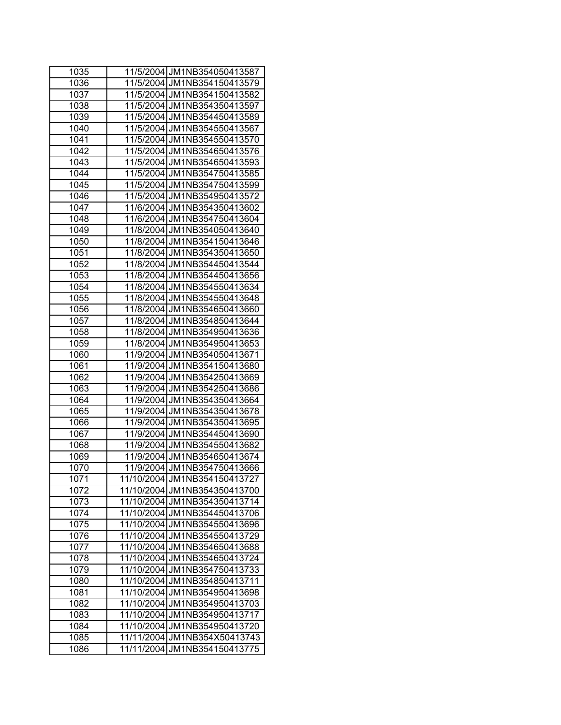| 1035 | 11/5/2004 JM1NB354050413587     |
|------|---------------------------------|
| 1036 | 11/5/2004 JM1NB354150413579     |
| 1037 | 11/5/2004 JM1NB354150413582     |
| 1038 | 11/5/2004 JM1NB354350413597     |
| 1039 | 11/5/2004 JM1NB354450413589     |
| 1040 | 11/5/2004 JM1NB354550413567     |
| 1041 | 11/5/2004 JM1NB354550413570     |
| 1042 | 11/5/2004 JM1NB354650413576     |
| 1043 | 11/5/2004 JM1NB354650413593     |
| 1044 | 11/5/2004 JM1NB354750413585     |
| 1045 | 11/5/2004 JM1NB354750413599     |
| 1046 | 11/5/2004 JM1NB354950413572     |
| 1047 | 11/6/2004 JM1NB354350413602     |
| 1048 | 11/6/2004 JM1NB354750413604     |
| 1049 | 11/8/2004 JM1NB354050413640     |
| 1050 | 11/8/2004 JM1NB354150413646     |
| 1051 | 11/8/2004 JM1NB354350413650     |
| 1052 | 11/8/2004 JM1NB354450413544     |
| 1053 | 11/8/2004 JM1NB354450413656     |
| 1054 | 11/8/2004 JM1NB354550413634     |
| 1055 | 11/8/2004 JM1NB354550413648     |
| 1056 | 11/8/2004 JM1NB354650413660     |
| 1057 | 11/8/2004 JM1NB354850413644     |
| 1058 | 11/8/2004 JM1NB354950413636     |
| 1059 | 11/8/2004 JM1NB354950413653     |
| 1060 | 11/9/2004 JM1NB354050413671     |
| 1061 | 11/9/2004 JM1NB354150413680     |
| 1062 | 11/9/2004 JM1NB354250413669     |
| 1063 | 11/9/2004 JM1NB354250413686     |
| 1064 | 11/9/2004 JM1NB354350413664     |
| 1065 | 11/9/2004 JM1NB354350413678     |
| 1066 | 11/9/2004 JM1NB354350413695     |
| 1067 | 11/9/2004 JM1NB354450413690     |
| 1068 | 11/9/2004 JM1NB354550413682     |
| 1069 | 11/9/2004 JM1NB354650413674     |
| 1070 | 11/9/2004 JM1NB354750413666     |
| 1071 | 11/10/2004 JM1NB354150413727    |
| 1072 | 11/10/2004 JM1NB354350413700    |
| 1073 | 11/10/2004 JM1NB354350413714    |
| 1074 | 11/10/2004 JM1NB354450413706    |
| 1075 | 11/10/2004 JM1NB354550413696    |
| 1076 | 11/10/2004<br>JM1NB354550413729 |
| 1077 | JM1NB354650413688<br>11/10/2004 |
| 1078 | 11/10/2004<br>JM1NB354650413724 |
| 1079 | 11/10/2004<br>JM1NB354750413733 |
| 1080 | 11/10/2004<br>JM1NB354850413711 |
| 1081 | JM1NB354950413698<br>11/10/2004 |
| 1082 | 11/10/2004<br>JM1NB354950413703 |
| 1083 | 11/10/2004<br>JM1NB354950413717 |
| 1084 | 11/10/2004<br>JM1NB354950413720 |
| 1085 | 11/11/2004<br>JM1NB354X50413743 |
| 1086 | JM1NB354150413775<br>11/11/2004 |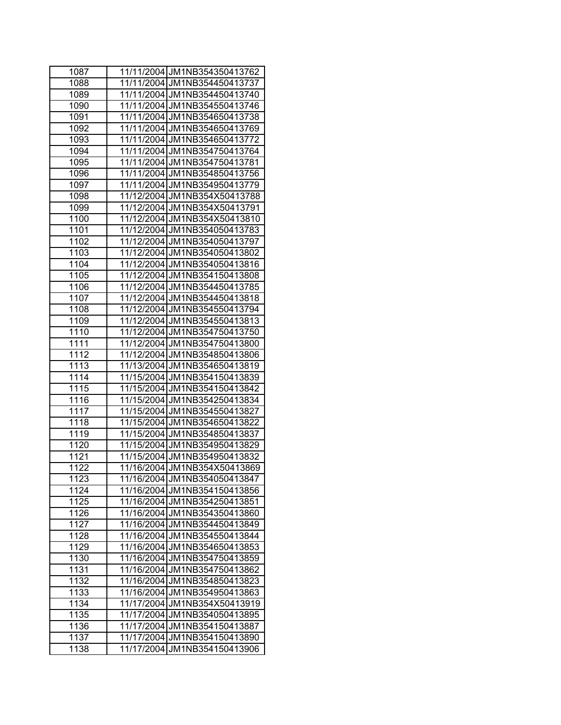| 1087 | 11/11/2004 JM1NB354350413762    |
|------|---------------------------------|
| 1088 | 11/11/2004 JM1NB354450413737    |
| 1089 | 11/11/2004 JM1NB354450413740    |
| 1090 | 11/11/2004 JM1NB354550413746    |
| 1091 | 11/11/2004 JM1NB354650413738    |
| 1092 | 11/11/2004 JM1NB354650413769    |
| 1093 | 11/11/2004 JM1NB354650413772    |
| 1094 | 11/11/2004 JM1NB354750413764    |
| 1095 | 11/11/2004 JM1NB354750413781    |
| 1096 | 11/11/2004 JM1NB354850413756    |
| 1097 | 11/11/2004 JM1NB354950413779    |
| 1098 | 11/12/2004 JM1NB354X50413788    |
| 1099 | 11/12/2004 JM1NB354X50413791    |
| 1100 | 11/12/2004 JM1NB354X50413810    |
| 1101 | 11/12/2004 JM1NB354050413783    |
| 1102 | 11/12/2004 JM1NB354050413797    |
| 1103 | 11/12/2004 JM1NB354050413802    |
| 1104 | 11/12/2004 JM1NB354050413816    |
| 1105 | 11/12/2004 JM1NB354150413808    |
| 1106 | 11/12/2004 JM1NB354450413785    |
| 1107 | 11/12/2004 JM1NB354450413818    |
| 1108 | 11/12/2004 JM1NB354550413794    |
| 1109 | 11/12/2004 JM1NB354550413813    |
| 1110 | 11/12/2004 JM1NB354750413750    |
| 1111 | 11/12/2004 JM1NB354750413800    |
| 1112 | 11/12/2004 JM1NB354850413806    |
| 1113 | 11/13/2004 JM1NB354650413819    |
| 1114 | 11/15/2004 JM1NB354150413839    |
| 1115 | 11/15/2004 JM1NB354150413842    |
| 1116 | 11/15/2004 JM1NB354250413834    |
| 1117 | 11/15/2004 JM1NB354550413827    |
| 1118 | 11/15/2004 JM1NB354650413822    |
| 1119 | 11/15/2004 JM1NB354850413837    |
| 1120 | 11/15/2004 JM1NB354950413829    |
| 1121 | 11/15/2004 JM1NB354950413832    |
| 1122 | 11/16/2004 JM1NB354X50413869    |
| 1123 | 11/16/2004 JM1NB354050413847    |
| 1124 | 11/16/2004 JM1NB354150413856    |
| 1125 | 11/16/2004 JM1NB354250413851    |
| 1126 | 11/16/2004 JM1NB354350413860    |
| 1127 | 11/16/2004 JM1NB354450413849    |
| 1128 | 11/16/2004 JM1NB354550413844    |
| 1129 | JM1NB354650413853<br>11/16/2004 |
| 1130 | JM1NB354750413859<br>11/16/2004 |
| 1131 | JM1NB354750413862<br>11/16/2004 |
| 1132 | 11/16/2004<br>JM1NB354850413823 |
| 1133 | 11/16/2004<br>JM1NB354950413863 |
| 1134 | 11/17/2004<br>JM1NB354X50413919 |
| 1135 | 11/17/2004<br>JM1NB354050413895 |
| 1136 | 11/17/2004 JM1NB354150413887    |
| 1137 | 11/17/2004 JM1NB354150413890    |
| 1138 | 11/17/2004 JM1NB354150413906    |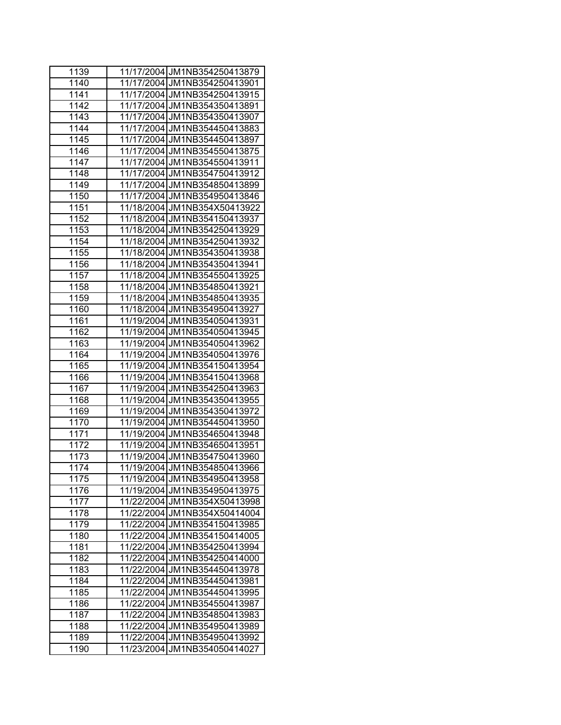| 1139 | 11/17/2004 JM1NB354250413879    |
|------|---------------------------------|
| 1140 | 11/17/2004 JM1NB354250413901    |
| 1141 | 11/17/2004 JM1NB354250413915    |
| 1142 | 11/17/2004 JM1NB354350413891    |
| 1143 | 11/17/2004 JM1NB354350413907    |
| 1144 | 11/17/2004 JM1NB354450413883    |
| 1145 | 11/17/2004 JM1NB354450413897    |
| 1146 | 11/17/2004 JM1NB354550413875    |
| 1147 | 11/17/2004 JM1NB354550413911    |
| 1148 | 11/17/2004 JM1NB354750413912    |
| 1149 | 11/17/2004 JM1NB354850413899    |
| 1150 | 11/17/2004 JM1NB354950413846    |
| 1151 | 11/18/2004 JM1NB354X50413922    |
| 1152 | 11/18/2004 JM1NB354150413937    |
| 1153 | 11/18/2004 JM1NB354250413929    |
| 1154 | 11/18/2004 JM1NB354250413932    |
| 1155 | 11/18/2004 JM1NB354350413938    |
| 1156 | 11/18/2004 JM1NB354350413941    |
| 1157 | 11/18/2004 JM1NB354550413925    |
| 1158 | 11/18/2004 JM1NB354850413921    |
| 1159 | 11/18/2004 JM1NB354850413935    |
| 1160 | 11/18/2004 JM1NB354950413927    |
| 1161 | 11/19/2004 JM1NB354050413931    |
| 1162 | 11/19/2004 JM1NB354050413945    |
| 1163 | 11/19/2004 JM1NB354050413962    |
| 1164 | 11/19/2004 JM1NB354050413976    |
| 1165 | 11/19/2004 JM1NB354150413954    |
| 1166 | 11/19/2004 JM1NB354150413968    |
| 1167 | 11/19/2004 JM1NB354250413963    |
| 1168 | 11/19/2004 JM1NB354350413955    |
| 1169 | 11/19/2004 JM1NB354350413972    |
| 1170 | 11/19/2004 JM1NB354450413950    |
| 1171 | 11/19/2004 JM1NB354650413948    |
| 1172 | 11/19/2004 JM1NB354650413951    |
| 1173 | 11/19/2004 JM1NB354750413960    |
| 1174 | 11/19/2004 JM1NB354850413966    |
| 1175 | 11/19/2004 JM1NB354950413958    |
| 1176 | 11/19/2004 JM1NB354950413975    |
| 1177 | 11/22/2004 JM1NB354X50413998    |
| 1178 | 11/22/2004 JM1NB354X50414004    |
| 1179 | 11/22/2004 JM1NB354150413985    |
| 1180 | 11/22/2004 JM1NB354150414005    |
| 1181 | JM1NB354250413994<br>11/22/2004 |
| 1182 | 11/22/2004<br>JM1NB354250414000 |
| 1183 | 11/22/2004<br>JM1NB354450413978 |
| 1184 | 11/22/2004<br>JM1NB354450413981 |
| 1185 | 11/22/2004<br>JM1NB354450413995 |
| 1186 | 11/22/2004<br>JM1NB354550413987 |
| 1187 | 11/22/2004<br>JM1NB354850413983 |
| 1188 | 11/22/2004<br>JM1NB354950413989 |
| 1189 | 11/22/2004 JM1NB354950413992    |
| 1190 | 11/23/2004 JM1NB354050414027    |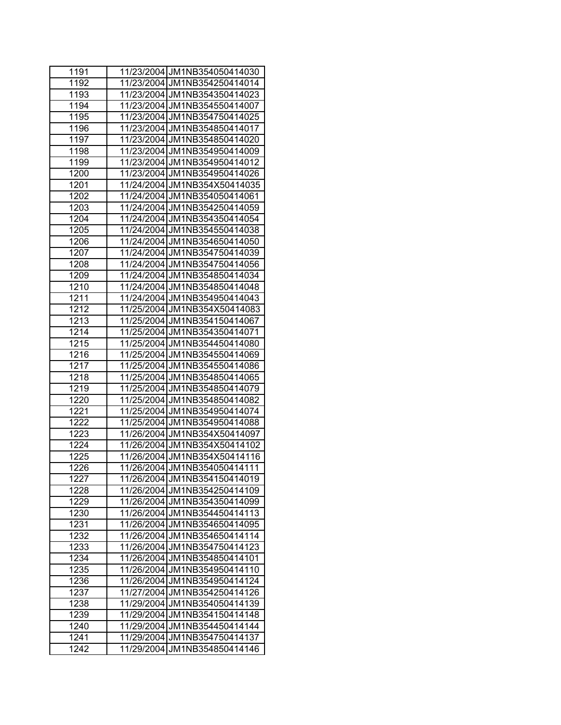| 1191 | 11/23/2004 JM1NB354050414030    |
|------|---------------------------------|
| 1192 | 11/23/2004 JM1NB354250414014    |
| 1193 | 11/23/2004 JM1NB354350414023    |
| 1194 | 11/23/2004 JM1NB354550414007    |
| 1195 | 11/23/2004 JM1NB354750414025    |
| 1196 | 11/23/2004 JM1NB354850414017    |
| 1197 | 11/23/2004 JM1NB354850414020    |
| 1198 | 11/23/2004 JM1NB354950414009    |
| 1199 | 11/23/2004 JM1NB354950414012    |
| 1200 | 11/23/2004 JM1NB354950414026    |
| 1201 | 11/24/2004 JM1NB354X50414035    |
| 1202 | 11/24/2004 JM1NB354050414061    |
| 1203 | 11/24/2004 JM1NB354250414059    |
| 1204 | 11/24/2004 JM1NB354350414054    |
| 1205 | 11/24/2004 JM1NB354550414038    |
| 1206 | 11/24/2004 JM1NB354650414050    |
| 1207 | 11/24/2004 JM1NB354750414039    |
| 1208 | 11/24/2004 JM1NB354750414056    |
| 1209 | 11/24/2004 JM1NB354850414034    |
| 1210 | 11/24/2004 JM1NB354850414048    |
| 1211 | 11/24/2004 JM1NB354950414043    |
| 1212 | 11/25/2004 JM1NB354X50414083    |
| 1213 | 11/25/2004 JM1NB354150414067    |
| 1214 | 11/25/2004 JM1NB354350414071    |
| 1215 | 11/25/2004 JM1NB354450414080    |
| 1216 | 11/25/2004 JM1NB354550414069    |
| 1217 | 11/25/2004 JM1NB354550414086    |
| 1218 | 11/25/2004 JM1NB354850414065    |
| 1219 | 11/25/2004 JM1NB354850414079    |
| 1220 | 11/25/2004 JM1NB354850414082    |
| 1221 | 11/25/2004 JM1NB354950414074    |
| 1222 | 11/25/2004 JM1NB354950414088    |
| 1223 | 11/26/2004 JM1NB354X50414097    |
| 1224 | 11/26/2004 JM1NB354X50414102    |
| 1225 | 11/26/2004 JM1NB354X50414116    |
| 1226 | 11/26/2004 JM1NB354050414111    |
| 1227 | 11/26/2004 JM1NB354150414019    |
| 1228 | 11/26/2004 JM1NB354250414109    |
| 1229 | 11/26/2004 JM1NB354350414099    |
| 1230 | 11/26/2004 JM1NB354450414113    |
| 1231 | 11/26/2004 JM1NB354650414095    |
| 1232 | 11/26/2004 JM1NB354650414114    |
| 1233 | 11/26/2004 JM1NB354750414123    |
| 1234 | 11/26/2004<br>JM1NB354850414101 |
| 1235 | 11/26/2004 JM1NB354950414110    |
| 1236 | 11/26/2004 JM1NB354950414124    |
| 1237 | 11/27/2004 JM1NB354250414126    |
| 1238 | 11/29/2004 JM1NB354050414139    |
| 1239 | 11/29/2004 JM1NB354150414148    |
| 1240 | 11/29/2004 JM1NB354450414144    |
| 1241 | 11/29/2004 JM1NB354750414137    |
| 1242 | 11/29/2004 JM1NB354850414146    |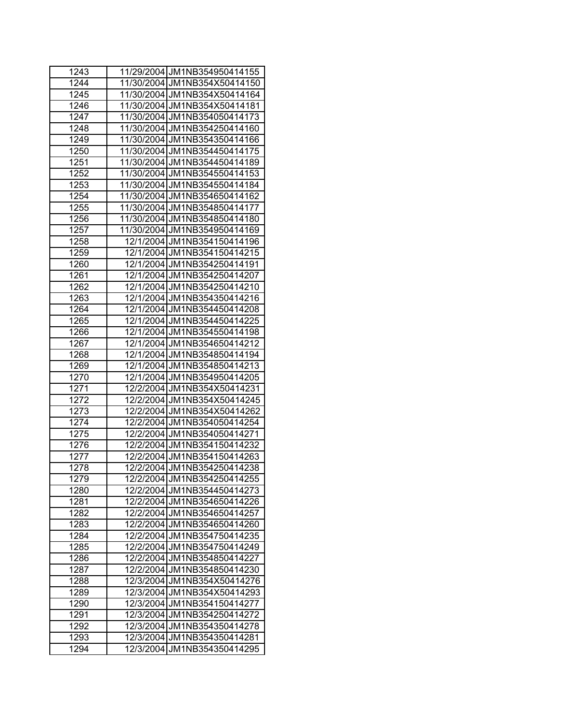| 1243 | 11/29/2004 JM1NB354950414155   |
|------|--------------------------------|
| 1244 | 11/30/2004 JM1NB354X50414150   |
| 1245 | 11/30/2004 JM1NB354X50414164   |
| 1246 | 11/30/2004 JM1NB354X50414181   |
| 1247 | 11/30/2004 JM1NB354050414173   |
| 1248 | 11/30/2004 JM1NB354250414160   |
| 1249 | 11/30/2004 JM1NB354350414166   |
| 1250 | 11/30/2004 JM1NB354450414175   |
| 1251 | 11/30/2004 JM1NB354450414189   |
| 1252 | 11/30/2004 JM1NB354550414153   |
| 1253 | 11/30/2004 JM1NB354550414184   |
| 1254 | 11/30/2004 JM1NB354650414162   |
| 1255 | 11/30/2004 JM1NB354850414177   |
| 1256 | 11/30/2004 JM1NB354850414180   |
| 1257 | 11/30/2004 JM1NB354950414169   |
| 1258 | 12/1/2004 JM1NB354150414196    |
| 1259 | 12/1/2004 JM1NB354150414215    |
| 1260 | 12/1/2004 JM1NB354250414191    |
| 1261 | 12/1/2004 JM1NB354250414207    |
| 1262 | 12/1/2004 JM1NB354250414210    |
| 1263 | 12/1/2004 JM1NB354350414216    |
| 1264 | 12/1/2004 JM1NB354450414208    |
| 1265 | 12/1/2004 JM1NB354450414225    |
| 1266 | 12/1/2004 JM1NB354550414198    |
| 1267 | 12/1/2004 JM1NB354650414212    |
| 1268 | 12/1/2004 JM1NB354850414194    |
| 1269 | 12/1/2004 JM1NB354850414213    |
| 1270 | 12/1/2004 JM1NB354950414205    |
| 1271 | 12/2/2004 JM1NB354X50414231    |
| 1272 | 12/2/2004 JM1NB354X50414245    |
| 1273 | 12/2/2004 JM1NB354X50414262    |
| 1274 | 12/2/2004 JM1NB354050414254    |
| 1275 | 12/2/2004 JM1NB354050414271    |
| 1276 | 12/2/2004 JM1NB354150414232    |
| 1277 | 12/2/2004 JM1NB354150414263    |
| 1278 | 12/2/2004 JM1NB354250414238    |
| 1279 | 12/2/2004 JM1NB354250414255    |
| 1280 | 12/2/2004 JM1NB354450414273    |
| 1281 | 12/2/2004 JM1NB354650414226    |
| 1282 | 12/2/2004 JM1NB354650414257    |
| 1283 | 12/2/2004 JM1NB354650414260    |
| 1284 | 12/2/2004 JM1NB354750414235    |
| 1285 | JM1NB354750414249<br>12/2/2004 |
| 1286 | 12/2/2004<br>JM1NB354850414227 |
| 1287 | 12/2/2004<br>JM1NB354850414230 |
| 1288 | JM1NB354X50414276<br>12/3/2004 |
| 1289 | 12/3/2004<br>JM1NB354X50414293 |
| 1290 | 12/3/2004<br>JM1NB354150414277 |
| 1291 | 12/3/2004 JM1NB354250414272    |
| 1292 | 12/3/2004 JM1NB354350414278    |
| 1293 | 12/3/2004 JM1NB354350414281    |
| 1294 | 12/3/2004 JM1NB354350414295    |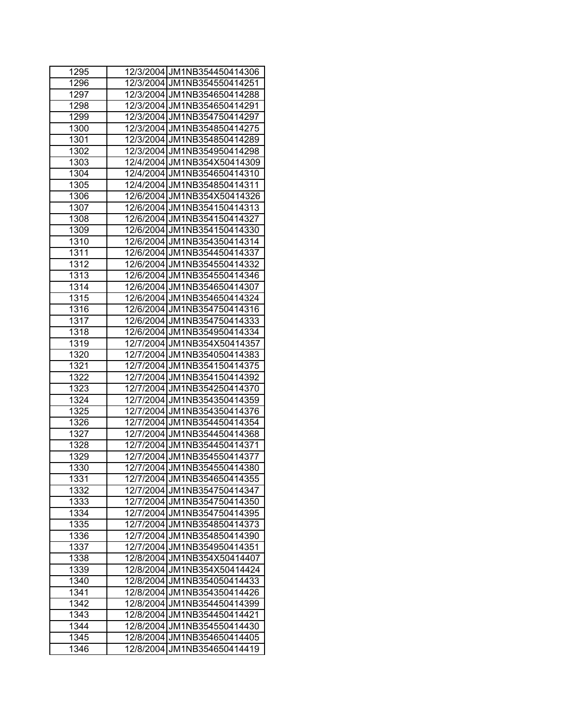| 1295 | 12/3/2004 JM1NB354450414306    |
|------|--------------------------------|
| 1296 | 12/3/2004 JM1NB354550414251    |
| 1297 | 12/3/2004 JM1NB354650414288    |
| 1298 | 12/3/2004 JM1NB354650414291    |
| 1299 | 12/3/2004 JM1NB354750414297    |
| 1300 | 12/3/2004 JM1NB354850414275    |
| 1301 | 12/3/2004 JM1NB354850414289    |
| 1302 | 12/3/2004 JM1NB354950414298    |
| 1303 | 12/4/2004 JM1NB354X50414309    |
| 1304 | 12/4/2004 JM1NB354650414310    |
| 1305 | 12/4/2004 JM1NB354850414311    |
| 1306 | 12/6/2004 JM1NB354X50414326    |
| 1307 | 12/6/2004 JM1NB354150414313    |
| 1308 | 12/6/2004 JM1NB354150414327    |
| 1309 | 12/6/2004 JM1NB354150414330    |
| 1310 | 12/6/2004 JM1NB354350414314    |
| 1311 | 12/6/2004 JM1NB354450414337    |
| 1312 | 12/6/2004 JM1NB354550414332    |
| 1313 | 12/6/2004 JM1NB354550414346    |
| 1314 | 12/6/2004 JM1NB354650414307    |
| 1315 | 12/6/2004 JM1NB354650414324    |
| 1316 | 12/6/2004 JM1NB354750414316    |
| 1317 | 12/6/2004 JM1NB354750414333    |
| 1318 | 12/6/2004 JM1NB354950414334    |
| 1319 | 12/7/2004 JM1NB354X50414357    |
| 1320 | 12/7/2004 JM1NB354050414383    |
| 1321 | 12/7/2004 JM1NB354150414375    |
| 1322 | 12/7/2004 JM1NB354150414392    |
| 1323 | 12/7/2004 JM1NB354250414370    |
| 1324 | 12/7/2004 JM1NB354350414359    |
| 1325 | 12/7/2004 JM1NB354350414376    |
| 1326 | 12/7/2004 JM1NB354450414354    |
| 1327 | 12/7/2004 JM1NB354450414368    |
| 1328 | 12/7/2004 JM1NB354450414371    |
| 1329 | 12/7/2004 JM1NB354550414377    |
| 1330 | 12/7/2004 JM1NB354550414380    |
| 1331 | 12/7/2004 JM1NB354650414355    |
| 1332 | 12/7/2004 JM1NB354750414347    |
| 1333 | 12/7/2004 JM1NB354750414350    |
| 1334 | 12/7/2004 JM1NB354750414395    |
| 1335 | 12/7/2004 JM1NB354850414373    |
| 1336 | 12/7/2004 JM1NB354850414390    |
| 1337 | 12/7/2004<br>JM1NB354950414351 |
| 1338 | 12/8/2004<br>JM1NB354X50414407 |
| 1339 | 12/8/2004 JM1NB354X50414424    |
| 1340 | 12/8/2004<br>JM1NB354050414433 |
| 1341 | 12/8/2004<br>JM1NB354350414426 |
| 1342 | 12/8/2004<br>JM1NB354450414399 |
| 1343 | 12/8/2004<br>JM1NB354450414421 |
| 1344 | 12/8/2004 JM1NB354550414430    |
| 1345 | 12/8/2004 JM1NB354650414405    |
| 1346 | 12/8/2004 JM1NB354650414419    |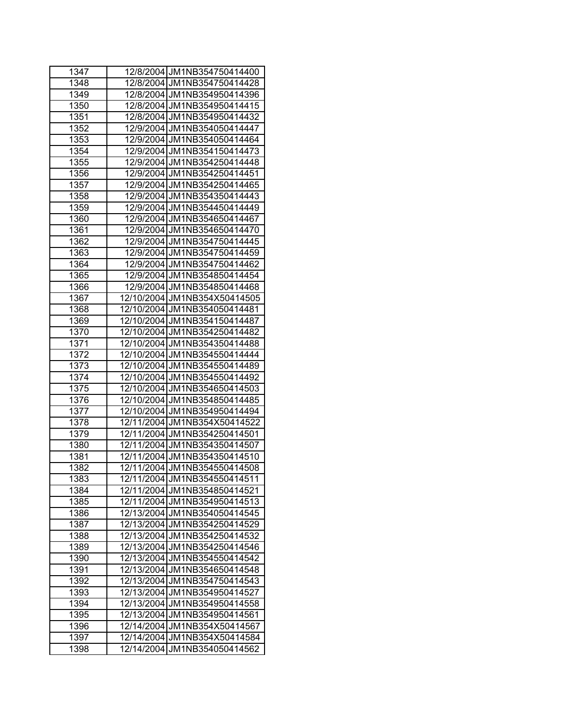| 1347 | 12/8/2004 JM1NB354750414400     |
|------|---------------------------------|
| 1348 | 12/8/2004 JM1NB354750414428     |
| 1349 | 12/8/2004 JM1NB354950414396     |
| 1350 | 12/8/2004 JM1NB354950414415     |
| 1351 | 12/8/2004 JM1NB354950414432     |
| 1352 | 12/9/2004 JM1NB354050414447     |
| 1353 | 12/9/2004 JM1NB354050414464     |
| 1354 | 12/9/2004 JM1NB354150414473     |
| 1355 | 12/9/2004 JM1NB354250414448     |
| 1356 | 12/9/2004 JM1NB354250414451     |
| 1357 | 12/9/2004 JM1NB354250414465     |
| 1358 | 12/9/2004 JM1NB354350414443     |
| 1359 | 12/9/2004 JM1NB354450414449     |
| 1360 | 12/9/2004 JM1NB354650414467     |
| 1361 | 12/9/2004 JM1NB354650414470     |
| 1362 | 12/9/2004 JM1NB354750414445     |
| 1363 | 12/9/2004 JM1NB354750414459     |
| 1364 | 12/9/2004 JM1NB354750414462     |
| 1365 | 12/9/2004 JM1NB354850414454     |
| 1366 | 12/9/2004 JM1NB354850414468     |
| 1367 | 12/10/2004 JM1NB354X50414505    |
| 1368 | 12/10/2004 JM1NB354050414481    |
| 1369 | 12/10/2004 JM1NB354150414487    |
| 1370 | 12/10/2004 JM1NB354250414482    |
| 1371 | 12/10/2004 JM1NB354350414488    |
| 1372 | 12/10/2004 JM1NB354550414444    |
| 1373 | 12/10/2004 JM1NB354550414489    |
| 1374 | 12/10/2004 JM1NB354550414492    |
| 1375 | 12/10/2004 JM1NB354650414503    |
| 1376 | 12/10/2004 JM1NB354850414485    |
| 1377 | 12/10/2004 JM1NB354950414494    |
| 1378 | 12/11/2004 JM1NB354X50414522    |
| 1379 | 12/11/2004 JM1NB354250414501    |
| 1380 | 12/11/2004 JM1NB354350414507    |
| 1381 | 12/11/2004 JM1NB354350414510    |
| 1382 | 12/11/2004 JM1NB354550414508    |
| 1383 | 12/11/2004 JM1NB354550414511    |
| 1384 | 12/11/2004 JM1NB354850414521    |
| 1385 | 12/11/2004 JM1NB354950414513    |
| 1386 | 12/13/2004 JM1NB354050414545    |
| 1387 | 12/13/2004 JM1NB354250414529    |
| 1388 | JM1NB354250414532<br>12/13/2004 |
| 1389 | 12/13/2004<br>JM1NB354250414546 |
| 1390 | 12/13/2004<br>JM1NB354550414542 |
| 1391 | 12/13/2004<br>JM1NB354650414548 |
| 1392 | 12/13/2004<br>JM1NB354750414543 |
| 1393 | 12/13/2004<br>JM1NB354950414527 |
| 1394 | 12/13/2004<br>JM1NB354950414558 |
| 1395 | 12/13/2004<br>JM1NB354950414561 |
| 1396 | 12/14/2004<br>JM1NB354X50414567 |
| 1397 | JM1NB354X50414584<br>12/14/2004 |
| 1398 | 12/14/2004<br>JM1NB354050414562 |